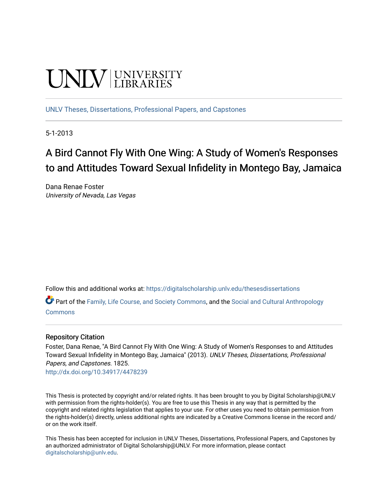# **UNIVERSITY**

[UNLV Theses, Dissertations, Professional Papers, and Capstones](https://digitalscholarship.unlv.edu/thesesdissertations)

5-1-2013

## A Bird Cannot Fly With One Wing: A Study of Women's Responses to and Attitudes Toward Sexual Infidelity in Montego Bay, Jamaica

Dana Renae Foster University of Nevada, Las Vegas

Follow this and additional works at: [https://digitalscholarship.unlv.edu/thesesdissertations](https://digitalscholarship.unlv.edu/thesesdissertations?utm_source=digitalscholarship.unlv.edu%2Fthesesdissertations%2F1825&utm_medium=PDF&utm_campaign=PDFCoverPages)

Part of the [Family, Life Course, and Society Commons,](http://network.bepress.com/hgg/discipline/419?utm_source=digitalscholarship.unlv.edu%2Fthesesdissertations%2F1825&utm_medium=PDF&utm_campaign=PDFCoverPages) and the Social and Cultural Anthropology [Commons](http://network.bepress.com/hgg/discipline/323?utm_source=digitalscholarship.unlv.edu%2Fthesesdissertations%2F1825&utm_medium=PDF&utm_campaign=PDFCoverPages)

## Repository Citation

Foster, Dana Renae, "A Bird Cannot Fly With One Wing: A Study of Women's Responses to and Attitudes Toward Sexual Infidelity in Montego Bay, Jamaica" (2013). UNLV Theses, Dissertations, Professional Papers, and Capstones. 1825.

<http://dx.doi.org/10.34917/4478239>

This Thesis is protected by copyright and/or related rights. It has been brought to you by Digital Scholarship@UNLV with permission from the rights-holder(s). You are free to use this Thesis in any way that is permitted by the copyright and related rights legislation that applies to your use. For other uses you need to obtain permission from the rights-holder(s) directly, unless additional rights are indicated by a Creative Commons license in the record and/ or on the work itself.

This Thesis has been accepted for inclusion in UNLV Theses, Dissertations, Professional Papers, and Capstones by an authorized administrator of Digital Scholarship@UNLV. For more information, please contact [digitalscholarship@unlv.edu](mailto:digitalscholarship@unlv.edu).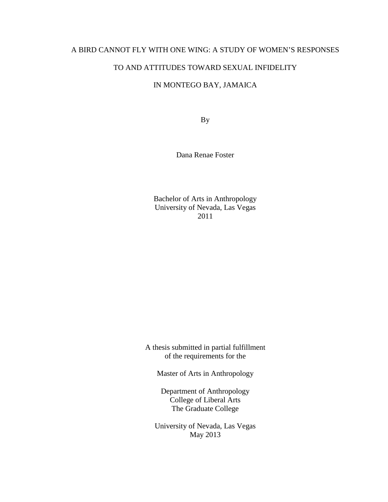## A BIRD CANNOT FLY WITH ONE WING: A STUDY OF WOMEN'S RESPONSES

## TO AND ATTITUDES TOWARD SEXUAL INFIDELITY

## IN MONTEGO BAY, JAMAICA

By

Dana Renae Foster

Bachelor of Arts in Anthropology University of Nevada, Las Vegas 2011

A thesis submitted in partial fulfillment of the requirements for the

Master of Arts in Anthropology

Department of Anthropology College of Liberal Arts The Graduate College

University of Nevada, Las Vegas May 2013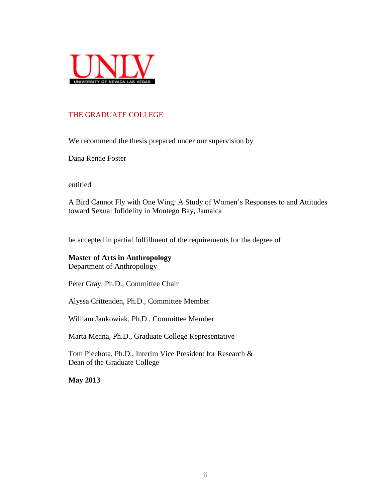

## THE GRADUATE COLLEGE

We recommend the thesis prepared under our supervision by

Dana Renae Foster

entitled

A Bird Cannot Fly with One Wing: A Study of Women's Responses to and Attitudes toward Sexual Infidelity in Montego Bay, Jamaica

be accepted in partial fulfillment of the requirements for the degree of

**Master of Arts in Anthropology** Department of Anthropology

Peter Gray, Ph.D., Committee Chair

Alyssa Crittenden, Ph.D., Committee Member

William Jankowiak, Ph.D., Committee Member

Marta Meana, Ph.D., Graduate College Representative

Tom Piechota, Ph.D., Interim Vice President for Research & Dean of the Graduate College

**May 2013**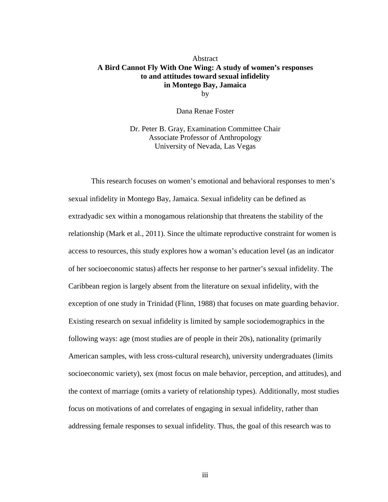#### **Abstract A Bird Cannot Fly With One Wing: A study of women's responses to and attitudes toward sexual infidelity in Montego Bay, Jamaica** by

Dana Renae Foster

Dr. Peter B. Gray, Examination Committee Chair Associate Professor of Anthropology University of Nevada, Las Vegas

This research focuses on women's emotional and behavioral responses to men's sexual infidelity in Montego Bay, Jamaica. Sexual infidelity can be defined as extradyadic sex within a monogamous relationship that threatens the stability of the relationship (Mark et al., 2011). Since the ultimate reproductive constraint for women is access to resources, this study explores how a woman's education level (as an indicator of her socioeconomic status) affects her response to her partner's sexual infidelity. The Caribbean region is largely absent from the literature on sexual infidelity, with the exception of one study in Trinidad (Flinn, 1988) that focuses on mate guarding behavior. Existing research on sexual infidelity is limited by sample sociodemographics in the following ways: age (most studies are of people in their 20s), nationality (primarily American samples, with less cross-cultural research), university undergraduates (limits socioeconomic variety), sex (most focus on male behavior, perception, and attitudes), and the context of marriage (omits a variety of relationship types). Additionally, most studies focus on motivations of and correlates of engaging in sexual infidelity, rather than addressing female responses to sexual infidelity. Thus, the goal of this research was to

iii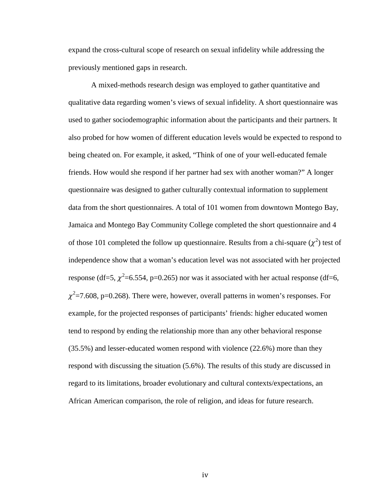expand the cross-cultural scope of research on sexual infidelity while addressing the previously mentioned gaps in research.

A mixed-methods research design was employed to gather quantitative and qualitative data regarding women's views of sexual infidelity. A short questionnaire was used to gather sociodemographic information about the participants and their partners. It also probed for how women of different education levels would be expected to respond to being cheated on. For example, it asked, "Think of one of your well-educated female friends. How would she respond if her partner had sex with another woman?" A longer questionnaire was designed to gather culturally contextual information to supplement data from the short questionnaires. A total of 101 women from downtown Montego Bay, Jamaica and Montego Bay Community College completed the short questionnaire and 4 of those 101 completed the follow up questionnaire. Results from a chi-square  $(\chi^2)$  test of independence show that a woman's education level was not associated with her projected response (df=5,  $\chi^2$ =6.554, p=0.265) nor was it associated with her actual response (df=6,  $\chi^2$ =7.608, p=0.268). There were, however, overall patterns in women's responses. For example, for the projected responses of participants' friends: higher educated women tend to respond by ending the relationship more than any other behavioral response (35.5%) and lesser-educated women respond with violence (22.6%) more than they respond with discussing the situation (5.6%). The results of this study are discussed in regard to its limitations, broader evolutionary and cultural contexts/expectations, an African American comparison, the role of religion, and ideas for future research.

iv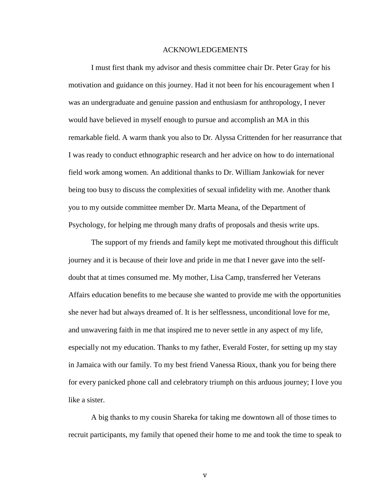#### ACKNOWLEDGEMENTS

I must first thank my advisor and thesis committee chair Dr. Peter Gray for his motivation and guidance on this journey. Had it not been for his encouragement when I was an undergraduate and genuine passion and enthusiasm for anthropology, I never would have believed in myself enough to pursue and accomplish an MA in this remarkable field. A warm thank you also to Dr. Alyssa Crittenden for her reasurrance that I was ready to conduct ethnographic research and her advice on how to do international field work among women. An additional thanks to Dr. William Jankowiak for never being too busy to discuss the complexities of sexual infidelity with me. Another thank you to my outside committee member Dr. Marta Meana, of the Department of Psychology, for helping me through many drafts of proposals and thesis write ups.

The support of my friends and family kept me motivated throughout this difficult journey and it is because of their love and pride in me that I never gave into the selfdoubt that at times consumed me. My mother, Lisa Camp, transferred her Veterans Affairs education benefits to me because she wanted to provide me with the opportunities she never had but always dreamed of. It is her selflessness, unconditional love for me, and unwavering faith in me that inspired me to never settle in any aspect of my life, especially not my education. Thanks to my father, Everald Foster, for setting up my stay in Jamaica with our family. To my best friend Vanessa Rioux, thank you for being there for every panicked phone call and celebratory triumph on this arduous journey; I love you like a sister.

A big thanks to my cousin Shareka for taking me downtown all of those times to recruit participants, my family that opened their home to me and took the time to speak to

v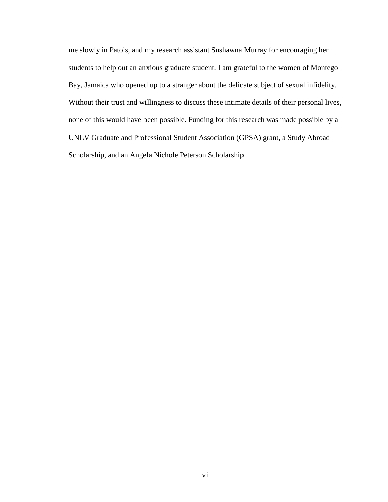me slowly in Patois, and my research assistant Sushawna Murray for encouraging her students to help out an anxious graduate student. I am grateful to the women of Montego Bay, Jamaica who opened up to a stranger about the delicate subject of sexual infidelity. Without their trust and willingness to discuss these intimate details of their personal lives, none of this would have been possible. Funding for this research was made possible by a UNLV Graduate and Professional Student Association (GPSA) grant, a Study Abroad Scholarship, and an Angela Nichole Peterson Scholarship.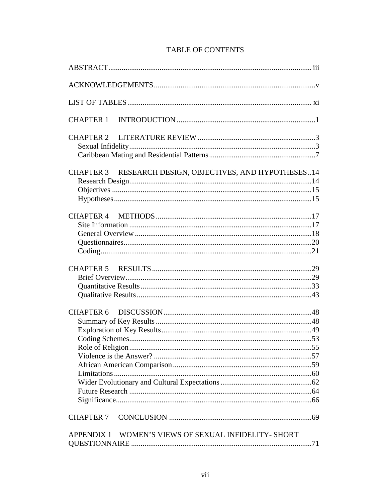| <b>CHAPTER 1</b>                                        |  |  |  |  |
|---------------------------------------------------------|--|--|--|--|
|                                                         |  |  |  |  |
| CHAPTER 3 RESEARCH DESIGN, OBJECTIVES, AND HYPOTHESES14 |  |  |  |  |
|                                                         |  |  |  |  |
|                                                         |  |  |  |  |
|                                                         |  |  |  |  |
|                                                         |  |  |  |  |
| <b>CHAPTER 7</b>                                        |  |  |  |  |
| APPENDIX 1 WOMEN'S VIEWS OF SEXUAL INFIDELITY- SHORT    |  |  |  |  |

## **TABLE OF CONTENTS**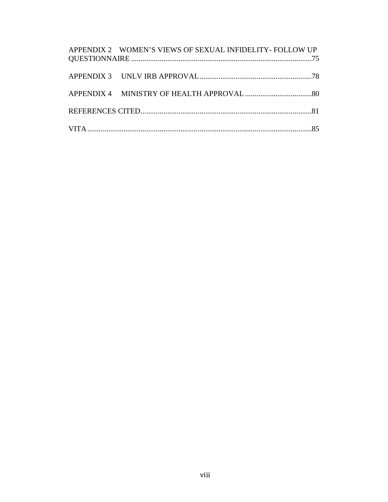| APPENDIX 2 WOMEN'S VIEWS OF SEXUAL INFIDELITY-FOLLOW UP |  |
|---------------------------------------------------------|--|
|                                                         |  |
|                                                         |  |
|                                                         |  |
|                                                         |  |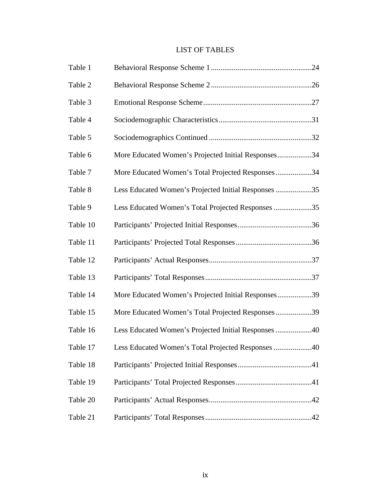## LIST OF TABLES

| Table 1  |                                                      |  |
|----------|------------------------------------------------------|--|
| Table 2  |                                                      |  |
| Table 3  |                                                      |  |
| Table 4  |                                                      |  |
| Table 5  |                                                      |  |
| Table 6  | More Educated Women's Projected Initial Responses34  |  |
| Table 7  | More Educated Women's Total Projected Responses34    |  |
| Table 8  | Less Educated Women's Projected Initial Responses 35 |  |
| Table 9  | Less Educated Women's Total Projected Responses 35   |  |
| Table 10 |                                                      |  |
| Table 11 |                                                      |  |
| Table 12 |                                                      |  |
| Table 13 |                                                      |  |
| Table 14 | More Educated Women's Projected Initial Responses39  |  |
| Table 15 | More Educated Women's Total Projected Responses39    |  |
| Table 16 | Less Educated Women's Projected Initial Responses 40 |  |
| Table 17 | Less Educated Women's Total Projected Responses 40   |  |
| Table 18 |                                                      |  |
| Table 19 |                                                      |  |
| Table 20 |                                                      |  |
| Table 21 |                                                      |  |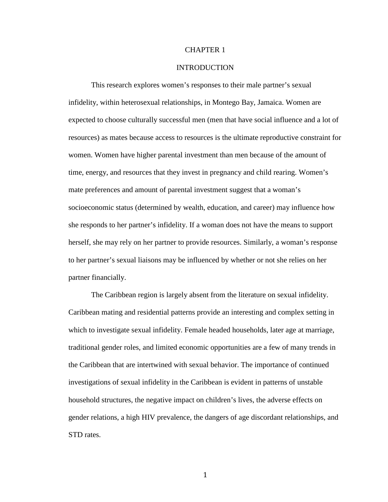#### CHAPTER 1

#### INTRODUCTION

This research explores women's responses to their male partner's sexual infidelity, within heterosexual relationships, in Montego Bay, Jamaica. Women are expected to choose culturally successful men (men that have social influence and a lot of resources) as mates because access to resources is the ultimate reproductive constraint for women. Women have higher parental investment than men because of the amount of time, energy, and resources that they invest in pregnancy and child rearing. Women's mate preferences and amount of parental investment suggest that a woman's socioeconomic status (determined by wealth, education, and career) may influence how she responds to her partner's infidelity. If a woman does not have the means to support herself, she may rely on her partner to provide resources. Similarly, a woman's response to her partner's sexual liaisons may be influenced by whether or not she relies on her partner financially.

The Caribbean region is largely absent from the literature on sexual infidelity. Caribbean mating and residential patterns provide an interesting and complex setting in which to investigate sexual infidelity. Female headed households, later age at marriage, traditional gender roles, and limited economic opportunities are a few of many trends in the Caribbean that are intertwined with sexual behavior. The importance of continued investigations of sexual infidelity in the Caribbean is evident in patterns of unstable household structures, the negative impact on children's lives, the adverse effects on gender relations, a high HIV prevalence, the dangers of age discordant relationships, and STD rates.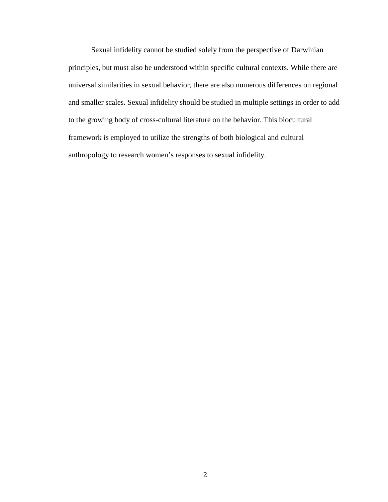Sexual infidelity cannot be studied solely from the perspective of Darwinian principles, but must also be understood within specific cultural contexts. While there are universal similarities in sexual behavior, there are also numerous differences on regional and smaller scales. Sexual infidelity should be studied in multiple settings in order to add to the growing body of cross-cultural literature on the behavior. This biocultural framework is employed to utilize the strengths of both biological and cultural anthropology to research women's responses to sexual infidelity.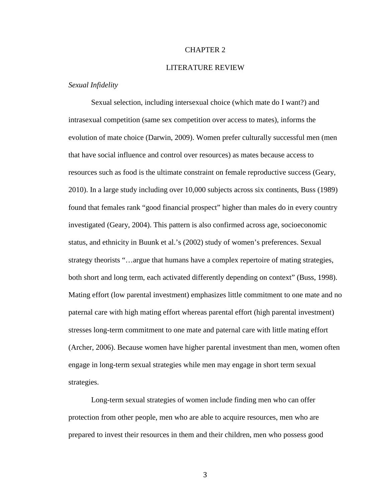#### CHAPTER 2

#### LITERATURE REVIEW

#### *Sexual Infidelity*

Sexual selection, including intersexual choice (which mate do I want?) and intrasexual competition (same sex competition over access to mates), informs the evolution of mate choice (Darwin, 2009). Women prefer culturally successful men (men that have social influence and control over resources) as mates because access to resources such as food is the ultimate constraint on female reproductive success (Geary, 2010). In a large study including over 10,000 subjects across six continents, Buss (1989) found that females rank "good financial prospect" higher than males do in every country investigated (Geary, 2004). This pattern is also confirmed across age, socioeconomic status, and ethnicity in Buunk et al.'s (2002) study of women's preferences. Sexual strategy theorists "…argue that humans have a complex repertoire of mating strategies, both short and long term, each activated differently depending on context" (Buss, 1998). Mating effort (low parental investment) emphasizes little commitment to one mate and no paternal care with high mating effort whereas parental effort (high parental investment) stresses long-term commitment to one mate and paternal care with little mating effort (Archer, 2006). Because women have higher parental investment than men, women often engage in long-term sexual strategies while men may engage in short term sexual strategies.

Long-term sexual strategies of women include finding men who can offer protection from other people, men who are able to acquire resources, men who are prepared to invest their resources in them and their children, men who possess good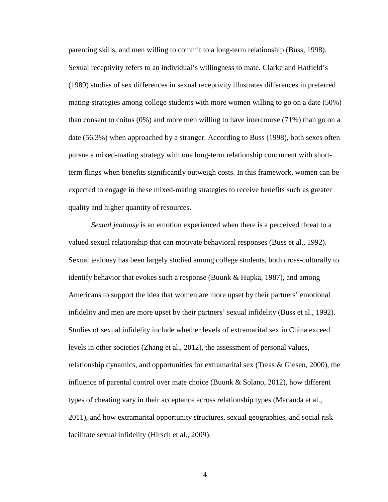parenting skills, and men willing to commit to a long-term relationship (Buss, 1998). Sexual receptivity refers to an individual's willingness to mate. Clarke and Hatfield's (1989) studies of sex differences in sexual receptivity illustrates differences in preferred mating strategies among college students with more women willing to go on a date (50%) than consent to coitus (0%) and more men willing to have intercourse (71%) than go on a date (56.3%) when approached by a stranger. According to Buss (1998), both sexes often pursue a mixed-mating strategy with one long-term relationship concurrent with shortterm flings when benefits significantly outweigh costs. In this framework, women can be expected to engage in these mixed-mating strategies to receive benefits such as greater quality and higher quantity of resources.

*Sexual jealousy* is an emotion experienced when there is a perceived threat to a valued sexual relationship that can motivate behavioral responses (Buss et al., 1992). Sexual jealousy has been largely studied among college students, both cross-culturally to identify behavior that evokes such a response (Buunk & Hupka, 1987), and among Americans to support the idea that women are more upset by their partners' emotional infidelity and men are more upset by their partners' sexual infidelity (Buss et al., 1992). Studies of sexual infidelity include whether levels of extramarital sex in China exceed levels in other societies (Zhang et al., 2012), the assessment of personal values, relationship dynamics, and opportunities for extramarital sex (Treas & Giesen, 2000), the influence of parental control over mate choice (Buunk & Solano, 2012), how different types of cheating vary in their acceptance across relationship types (Macauda et al., 2011), and how extramarital opportunity structures, sexual geographies, and social risk facilitate sexual infidelity (Hirsch et al., 2009).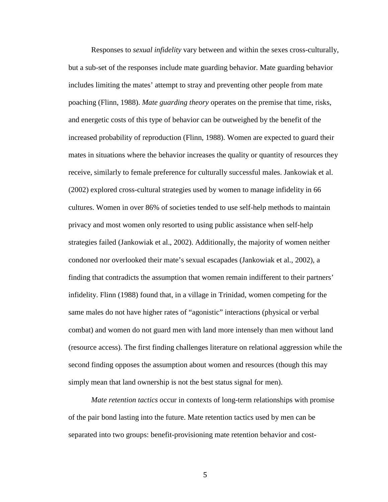Responses to *sexual infidelity* vary between and within the sexes cross-culturally, but a sub-set of the responses include mate guarding behavior. Mate guarding behavior includes limiting the mates' attempt to stray and preventing other people from mate poaching (Flinn, 1988). *Mate guarding theory* operates on the premise that time, risks, and energetic costs of this type of behavior can be outweighed by the benefit of the increased probability of reproduction (Flinn, 1988). Women are expected to guard their mates in situations where the behavior increases the quality or quantity of resources they receive, similarly to female preference for culturally successful males. Jankowiak et al. (2002) explored cross-cultural strategies used by women to manage infidelity in 66 cultures. Women in over 86% of societies tended to use self-help methods to maintain privacy and most women only resorted to using public assistance when self-help strategies failed (Jankowiak et al., 2002). Additionally, the majority of women neither condoned nor overlooked their mate's sexual escapades (Jankowiak et al., 2002), a finding that contradicts the assumption that women remain indifferent to their partners' infidelity. Flinn (1988) found that, in a village in Trinidad, women competing for the same males do not have higher rates of "agonistic" interactions (physical or verbal combat) and women do not guard men with land more intensely than men without land (resource access). The first finding challenges literature on relational aggression while the second finding opposes the assumption about women and resources (though this may simply mean that land ownership is not the best status signal for men).

*Mate retention tactics* occur in contexts of long-term relationships with promise of the pair bond lasting into the future. Mate retention tactics used by men can be separated into two groups: benefit-provisioning mate retention behavior and cost-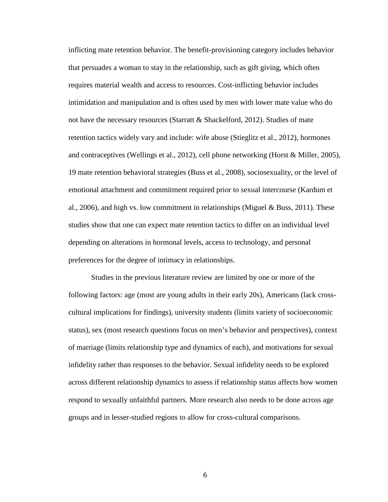inflicting mate retention behavior. The benefit-provisioning category includes behavior that persuades a woman to stay in the relationship, such as gift giving, which often requires material wealth and access to resources. Cost-inflicting behavior includes intimidation and manipulation and is often used by men with lower mate value who do not have the necessary resources (Starratt & Shackelford, 2012). Studies of mate retention tactics widely vary and include: wife abuse (Stieglitz et al., 2012), hormones and contraceptives (Wellings et al., 2012), cell phone networking (Horst & Miller, 2005), 19 mate retention behavioral strategies (Buss et al., 2008), sociosexuality, or the level of emotional attachment and commitment required prior to sexual intercourse (Kardum et al., 2006), and high vs. low commitment in relationships (Miguel  $\&$  Buss, 2011). These studies show that one can expect mate retention tactics to differ on an individual level depending on alterations in hormonal levels, access to technology, and personal preferences for the degree of intimacy in relationships.

Studies in the previous literature review are limited by one or more of the following factors: age (most are young adults in their early 20s), Americans (lack crosscultural implications for findings), university students (limits variety of socioeconomic status), sex (most research questions focus on men's behavior and perspectives), context of marriage (limits relationship type and dynamics of each), and motivations for sexual infidelity rather than responses to the behavior. Sexual infidelity needs to be explored across different relationship dynamics to assess if relationship status affects how women respond to sexually unfaithful partners. More research also needs to be done across age groups and in lesser-studied regions to allow for cross-cultural comparisons.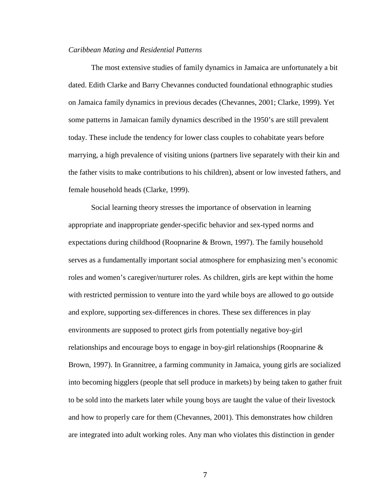#### *Caribbean Mating and Residential Patterns*

The most extensive studies of family dynamics in Jamaica are unfortunately a bit dated. Edith Clarke and Barry Chevannes conducted foundational ethnographic studies on Jamaica family dynamics in previous decades (Chevannes, 2001; Clarke, 1999). Yet some patterns in Jamaican family dynamics described in the 1950's are still prevalent today. These include the tendency for lower class couples to cohabitate years before marrying, a high prevalence of visiting unions (partners live separately with their kin and the father visits to make contributions to his children), absent or low invested fathers, and female household heads (Clarke, 1999).

Social learning theory stresses the importance of observation in learning appropriate and inappropriate gender-specific behavior and sex-typed norms and expectations during childhood (Roopnarine & Brown, 1997). The family household serves as a fundamentally important social atmosphere for emphasizing men's economic roles and women's caregiver/nurturer roles. As children, girls are kept within the home with restricted permission to venture into the yard while boys are allowed to go outside and explore, supporting sex-differences in chores. These sex differences in play environments are supposed to protect girls from potentially negative boy-girl relationships and encourage boys to engage in boy-girl relationships (Roopnarine & Brown, 1997). In Grannitree, a farming community in Jamaica, young girls are socialized into becoming higglers (people that sell produce in markets) by being taken to gather fruit to be sold into the markets later while young boys are taught the value of their livestock and how to properly care for them (Chevannes, 2001). This demonstrates how children are integrated into adult working roles. Any man who violates this distinction in gender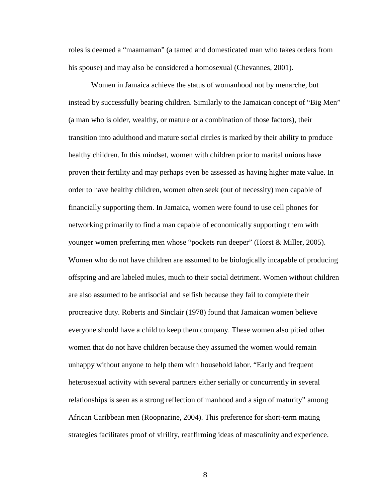roles is deemed a "maamaman" (a tamed and domesticated man who takes orders from his spouse) and may also be considered a homosexual (Chevannes, 2001).

Women in Jamaica achieve the status of womanhood not by menarche, but instead by successfully bearing children. Similarly to the Jamaican concept of "Big Men" (a man who is older, wealthy, or mature or a combination of those factors), their transition into adulthood and mature social circles is marked by their ability to produce healthy children. In this mindset, women with children prior to marital unions have proven their fertility and may perhaps even be assessed as having higher mate value. In order to have healthy children, women often seek (out of necessity) men capable of financially supporting them. In Jamaica, women were found to use cell phones for networking primarily to find a man capable of economically supporting them with younger women preferring men whose "pockets run deeper" (Horst & Miller, 2005). Women who do not have children are assumed to be biologically incapable of producing offspring and are labeled mules, much to their social detriment. Women without children are also assumed to be antisocial and selfish because they fail to complete their procreative duty. Roberts and Sinclair (1978) found that Jamaican women believe everyone should have a child to keep them company. These women also pitied other women that do not have children because they assumed the women would remain unhappy without anyone to help them with household labor. "Early and frequent heterosexual activity with several partners either serially or concurrently in several relationships is seen as a strong reflection of manhood and a sign of maturity" among African Caribbean men (Roopnarine, 2004). This preference for short-term mating strategies facilitates proof of virility, reaffirming ideas of masculinity and experience.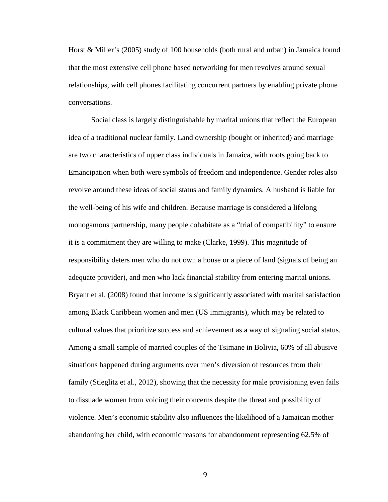Horst & Miller's (2005) study of 100 households (both rural and urban) in Jamaica found that the most extensive cell phone based networking for men revolves around sexual relationships, with cell phones facilitating concurrent partners by enabling private phone conversations.

Social class is largely distinguishable by marital unions that reflect the European idea of a traditional nuclear family. Land ownership (bought or inherited) and marriage are two characteristics of upper class individuals in Jamaica, with roots going back to Emancipation when both were symbols of freedom and independence. Gender roles also revolve around these ideas of social status and family dynamics. A husband is liable for the well-being of his wife and children. Because marriage is considered a lifelong monogamous partnership, many people cohabitate as a "trial of compatibility" to ensure it is a commitment they are willing to make (Clarke, 1999). This magnitude of responsibility deters men who do not own a house or a piece of land (signals of being an adequate provider), and men who lack financial stability from entering marital unions. Bryant et al. (2008) found that income is significantly associated with marital satisfaction among Black Caribbean women and men (US immigrants), which may be related to cultural values that prioritize success and achievement as a way of signaling social status. Among a small sample of married couples of the Tsimane in Bolivia, 60% of all abusive situations happened during arguments over men's diversion of resources from their family (Stieglitz et al., 2012), showing that the necessity for male provisioning even fails to dissuade women from voicing their concerns despite the threat and possibility of violence. Men's economic stability also influences the likelihood of a Jamaican mother abandoning her child, with economic reasons for abandonment representing 62.5% of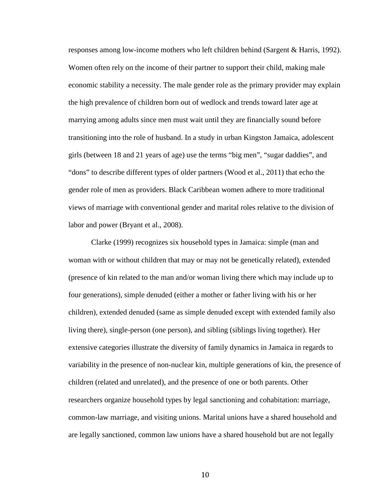responses among low-income mothers who left children behind (Sargent & Harris, 1992). Women often rely on the income of their partner to support their child, making male economic stability a necessity. The male gender role as the primary provider may explain the high prevalence of children born out of wedlock and trends toward later age at marrying among adults since men must wait until they are financially sound before transitioning into the role of husband. In a study in urban Kingston Jamaica, adolescent girls (between 18 and 21 years of age) use the terms "big men", "sugar daddies", and "dons" to describe different types of older partners (Wood et al., 2011) that echo the gender role of men as providers. Black Caribbean women adhere to more traditional views of marriage with conventional gender and marital roles relative to the division of labor and power (Bryant et al., 2008).

Clarke (1999) recognizes six household types in Jamaica: simple (man and woman with or without children that may or may not be genetically related), extended (presence of kin related to the man and/or woman living there which may include up to four generations), simple denuded (either a mother or father living with his or her children), extended denuded (same as simple denuded except with extended family also living there), single-person (one person), and sibling (siblings living together). Her extensive categories illustrate the diversity of family dynamics in Jamaica in regards to variability in the presence of non-nuclear kin, multiple generations of kin, the presence of children (related and unrelated), and the presence of one or both parents. Other researchers organize household types by legal sanctioning and cohabitation: marriage, common-law marriage, and visiting unions. Marital unions have a shared household and are legally sanctioned, common law unions have a shared household but are not legally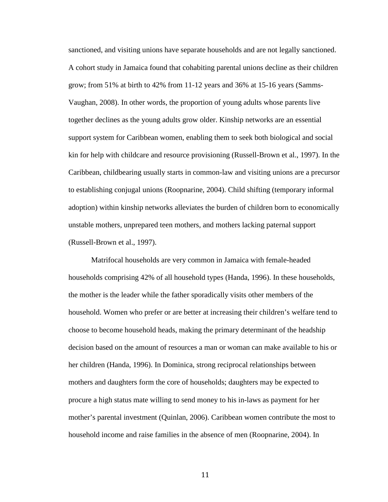sanctioned, and visiting unions have separate households and are not legally sanctioned. A cohort study in Jamaica found that cohabiting parental unions decline as their children grow; from 51% at birth to 42% from 11-12 years and 36% at 15-16 years (Samms-Vaughan, 2008). In other words, the proportion of young adults whose parents live together declines as the young adults grow older. Kinship networks are an essential support system for Caribbean women, enabling them to seek both biological and social kin for help with childcare and resource provisioning (Russell-Brown et al., 1997). In the Caribbean, childbearing usually starts in common-law and visiting unions are a precursor to establishing conjugal unions (Roopnarine, 2004). Child shifting (temporary informal adoption) within kinship networks alleviates the burden of children born to economically unstable mothers, unprepared teen mothers, and mothers lacking paternal support (Russell-Brown et al., 1997).

Matrifocal households are very common in Jamaica with female-headed households comprising 42% of all household types (Handa, 1996). In these households, the mother is the leader while the father sporadically visits other members of the household. Women who prefer or are better at increasing their children's welfare tend to choose to become household heads, making the primary determinant of the headship decision based on the amount of resources a man or woman can make available to his or her children (Handa, 1996). In Dominica, strong reciprocal relationships between mothers and daughters form the core of households; daughters may be expected to procure a high status mate willing to send money to his in-laws as payment for her mother's parental investment (Quinlan, 2006). Caribbean women contribute the most to household income and raise families in the absence of men (Roopnarine, 2004). In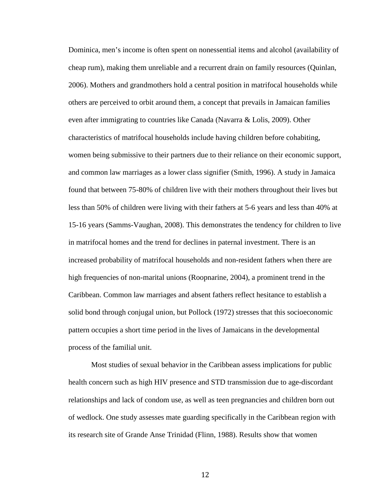Dominica, men's income is often spent on nonessential items and alcohol (availability of cheap rum), making them unreliable and a recurrent drain on family resources (Quinlan, 2006). Mothers and grandmothers hold a central position in matrifocal households while others are perceived to orbit around them, a concept that prevails in Jamaican families even after immigrating to countries like Canada (Navarra & Lolis, 2009). Other characteristics of matrifocal households include having children before cohabiting, women being submissive to their partners due to their reliance on their economic support, and common law marriages as a lower class signifier (Smith, 1996). A study in Jamaica found that between 75-80% of children live with their mothers throughout their lives but less than 50% of children were living with their fathers at 5-6 years and less than 40% at 15-16 years (Samms-Vaughan, 2008). This demonstrates the tendency for children to live in matrifocal homes and the trend for declines in paternal investment. There is an increased probability of matrifocal households and non-resident fathers when there are high frequencies of non-marital unions (Roopnarine, 2004), a prominent trend in the Caribbean. Common law marriages and absent fathers reflect hesitance to establish a solid bond through conjugal union, but Pollock (1972) stresses that this socioeconomic pattern occupies a short time period in the lives of Jamaicans in the developmental process of the familial unit.

Most studies of sexual behavior in the Caribbean assess implications for public health concern such as high HIV presence and STD transmission due to age-discordant relationships and lack of condom use, as well as teen pregnancies and children born out of wedlock. One study assesses mate guarding specifically in the Caribbean region with its research site of Grande Anse Trinidad (Flinn, 1988). Results show that women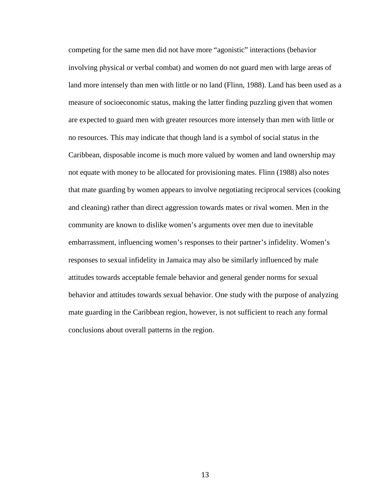competing for the same men did not have more "agonistic" interactions (behavior involving physical or verbal combat) and women do not guard men with large areas of land more intensely than men with little or no land (Flinn, 1988). Land has been used as a measure of socioeconomic status, making the latter finding puzzling given that women are expected to guard men with greater resources more intensely than men with little or no resources. This may indicate that though land is a symbol of social status in the Caribbean, disposable income is much more valued by women and land ownership may not equate with money to be allocated for provisioning mates. Flinn (1988) also notes that mate guarding by women appears to involve negotiating reciprocal services (cooking and cleaning) rather than direct aggression towards mates or rival women. Men in the community are known to dislike women's arguments over men due to inevitable embarrassment, influencing women's responses to their partner's infidelity. Women's responses to sexual infidelity in Jamaica may also be similarly influenced by male attitudes towards acceptable female behavior and general gender norms for sexual behavior and attitudes towards sexual behavior. One study with the purpose of analyzing mate guarding in the Caribbean region, however, is not sufficient to reach any formal conclusions about overall patterns in the region.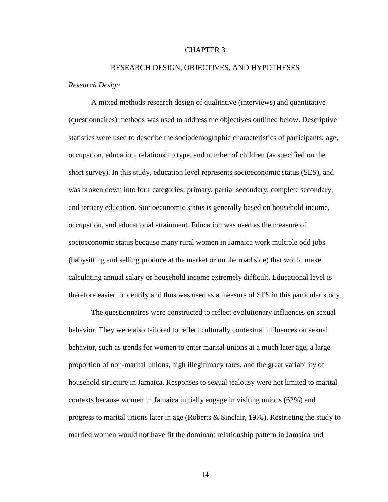#### CHAPTER 3

#### RESEARCH DESIGN, OBJECTIVES, AND HYPOTHESES

#### *Research Design*

A mixed methods research design of qualitative (interviews) and quantitative (questionnaires) methods was used to address the objectives outlined below. Descriptive statistics were used to describe the sociodemographic characteristics of participants: age, occupation, education, relationship type, and number of children (as specified on the short survey). In this study, education level represents socioeconomic status (SES), and was broken down into four categories: primary, partial secondary, complete secondary, and tertiary education. Socioeconomic status is generally based on household income, occupation, and educational attainment. Education was used as the measure of socioeconomic status because many rural women in Jamaica work multiple odd jobs (babysitting and selling produce at the market or on the road side) that would make calculating annual salary or household income extremely difficult. Educational level is therefore easier to identify and thus was used as a measure of SES in this particular study.

The questionnaires were constructed to reflect evolutionary influences on sexual behavior. They were also tailored to reflect culturally contextual influences on sexual behavior, such as trends for women to enter marital unions at a much later age, a large proportion of non-marital unions, high illegitimacy rates, and the great variability of household structure in Jamaica. Responses to sexual jealousy were not limited to marital contexts because women in Jamaica initially engage in visiting unions (62%) and progress to marital unions later in age (Roberts & Sinclair, 1978). Restricting the study to married women would not have fit the dominant relationship pattern in Jamaica and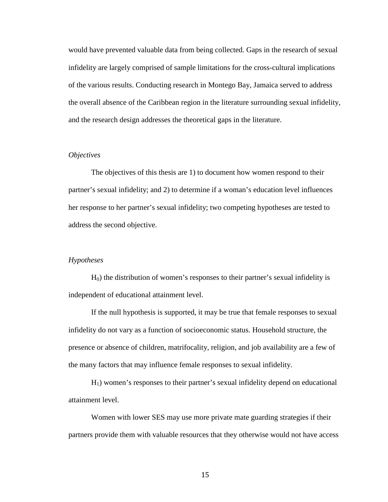would have prevented valuable data from being collected. Gaps in the research of sexual infidelity are largely comprised of sample limitations for the cross-cultural implications of the various results. Conducting research in Montego Bay, Jamaica served to address the overall absence of the Caribbean region in the literature surrounding sexual infidelity, and the research design addresses the theoretical gaps in the literature.

#### *Objectives*

The objectives of this thesis are 1) to document how women respond to their partner's sexual infidelity; and 2) to determine if a woman's education level influences her response to her partner's sexual infidelity; two competing hypotheses are tested to address the second objective.

#### *Hypotheses*

H0) the distribution of women's responses to their partner's sexual infidelity is independent of educational attainment level.

If the null hypothesis is supported, it may be true that female responses to sexual infidelity do not vary as a function of socioeconomic status. Household structure, the presence or absence of children, matrifocality, religion, and job availability are a few of the many factors that may influence female responses to sexual infidelity.

H1) women's responses to their partner's sexual infidelity depend on educational attainment level.

Women with lower SES may use more private mate guarding strategies if their partners provide them with valuable resources that they otherwise would not have access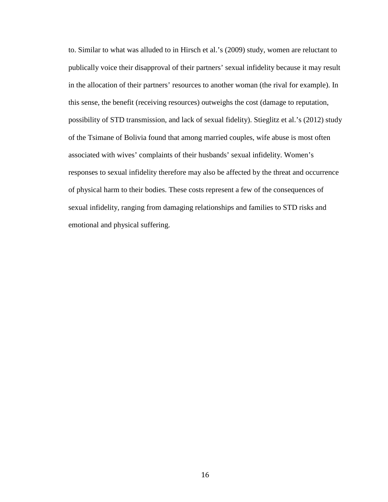to. Similar to what was alluded to in Hirsch et al.'s (2009) study, women are reluctant to publically voice their disapproval of their partners' sexual infidelity because it may result in the allocation of their partners' resources to another woman (the rival for example). In this sense, the benefit (receiving resources) outweighs the cost (damage to reputation, possibility of STD transmission, and lack of sexual fidelity). Stieglitz et al.'s (2012) study of the Tsimane of Bolivia found that among married couples, wife abuse is most often associated with wives' complaints of their husbands' sexual infidelity. Women's responses to sexual infidelity therefore may also be affected by the threat and occurrence of physical harm to their bodies. These costs represent a few of the consequences of sexual infidelity, ranging from damaging relationships and families to STD risks and emotional and physical suffering.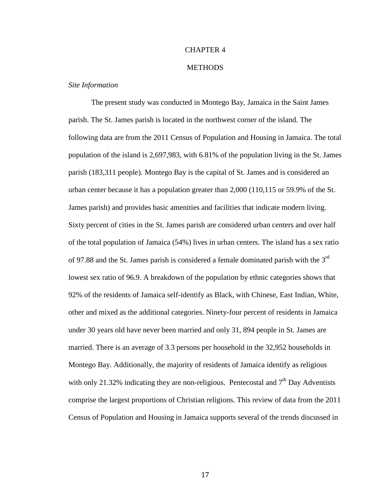#### CHAPTER 4

#### **METHODS**

#### *Site Information*

The present study was conducted in Montego Bay, Jamaica in the Saint James parish. The St. James parish is located in the northwest corner of the island. The following data are from the 2011 Census of Population and Housing in Jamaica. The total population of the island is 2,697,983, with 6.81% of the population living in the St. James parish (183,311 people). Montego Bay is the capital of St. James and is considered an urban center because it has a population greater than 2,000 (110,115 or 59.9% of the St. James parish) and provides basic amenities and facilities that indicate modern living. Sixty percent of cities in the St. James parish are considered urban centers and over half of the total population of Jamaica (54%) lives in urban centers. The island has a sex ratio of 97.88 and the St. James parish is considered a female dominated parish with the  $3<sup>rd</sup>$ lowest sex ratio of 96.9. A breakdown of the population by ethnic categories shows that 92% of the residents of Jamaica self-identify as Black, with Chinese, East Indian, White, other and mixed as the additional categories. Ninety-four percent of residents in Jamaica under 30 years old have never been married and only 31, 894 people in St. James are married. There is an average of 3.3 persons per household in the 32,952 households in Montego Bay. Additionally, the majority of residents of Jamaica identify as religious with only 21.32% indicating they are non-religious. Pentecostal and  $7<sup>th</sup>$  Day Adventists comprise the largest proportions of Christian religions. This review of data from the 2011 Census of Population and Housing in Jamaica supports several of the trends discussed in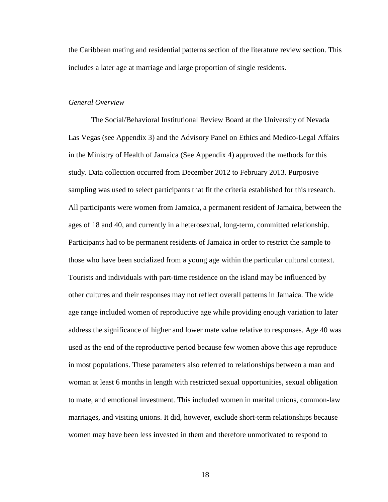the Caribbean mating and residential patterns section of the literature review section. This includes a later age at marriage and large proportion of single residents.

#### *General Overview*

The Social/Behavioral Institutional Review Board at the University of Nevada Las Vegas (see Appendix 3) and the Advisory Panel on Ethics and Medico-Legal Affairs in the Ministry of Health of Jamaica (See Appendix 4) approved the methods for this study. Data collection occurred from December 2012 to February 2013. Purposive sampling was used to select participants that fit the criteria established for this research. All participants were women from Jamaica, a permanent resident of Jamaica, between the ages of 18 and 40, and currently in a heterosexual, long-term, committed relationship. Participants had to be permanent residents of Jamaica in order to restrict the sample to those who have been socialized from a young age within the particular cultural context. Tourists and individuals with part-time residence on the island may be influenced by other cultures and their responses may not reflect overall patterns in Jamaica. The wide age range included women of reproductive age while providing enough variation to later address the significance of higher and lower mate value relative to responses. Age 40 was used as the end of the reproductive period because few women above this age reproduce in most populations. These parameters also referred to relationships between a man and woman at least 6 months in length with restricted sexual opportunities, sexual obligation to mate, and emotional investment. This included women in marital unions, common-law marriages, and visiting unions. It did, however, exclude short-term relationships because women may have been less invested in them and therefore unmotivated to respond to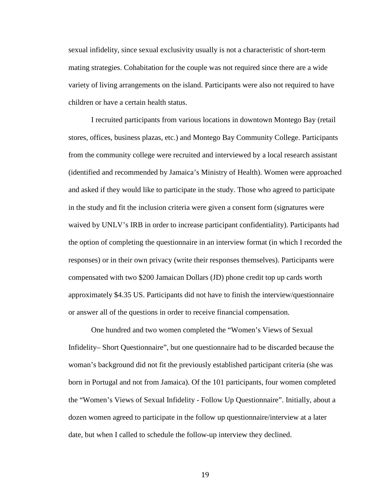sexual infidelity, since sexual exclusivity usually is not a characteristic of short-term mating strategies. Cohabitation for the couple was not required since there are a wide variety of living arrangements on the island. Participants were also not required to have children or have a certain health status.

I recruited participants from various locations in downtown Montego Bay (retail stores, offices, business plazas, etc.) and Montego Bay Community College. Participants from the community college were recruited and interviewed by a local research assistant (identified and recommended by Jamaica's Ministry of Health). Women were approached and asked if they would like to participate in the study. Those who agreed to participate in the study and fit the inclusion criteria were given a consent form (signatures were waived by UNLV's IRB in order to increase participant confidentiality). Participants had the option of completing the questionnaire in an interview format (in which I recorded the responses) or in their own privacy (write their responses themselves). Participants were compensated with two \$200 Jamaican Dollars (JD) phone credit top up cards worth approximately \$4.35 US. Participants did not have to finish the interview/questionnaire or answer all of the questions in order to receive financial compensation.

One hundred and two women completed the "Women's Views of Sexual Infidelity– Short Questionnaire", but one questionnaire had to be discarded because the woman's background did not fit the previously established participant criteria (she was born in Portugal and not from Jamaica). Of the 101 participants, four women completed the "Women's Views of Sexual Infidelity - Follow Up Questionnaire". Initially, about a dozen women agreed to participate in the follow up questionnaire/interview at a later date, but when I called to schedule the follow-up interview they declined.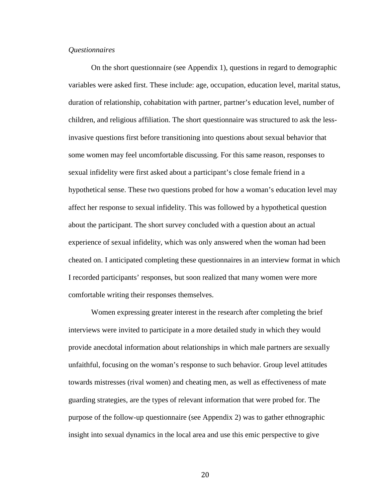#### *Questionnaires*

On the short questionnaire (see Appendix 1), questions in regard to demographic variables were asked first. These include: age, occupation, education level, marital status, duration of relationship, cohabitation with partner, partner's education level, number of children, and religious affiliation. The short questionnaire was structured to ask the lessinvasive questions first before transitioning into questions about sexual behavior that some women may feel uncomfortable discussing. For this same reason, responses to sexual infidelity were first asked about a participant's close female friend in a hypothetical sense. These two questions probed for how a woman's education level may affect her response to sexual infidelity. This was followed by a hypothetical question about the participant. The short survey concluded with a question about an actual experience of sexual infidelity, which was only answered when the woman had been cheated on. I anticipated completing these questionnaires in an interview format in which I recorded participants' responses, but soon realized that many women were more comfortable writing their responses themselves.

Women expressing greater interest in the research after completing the brief interviews were invited to participate in a more detailed study in which they would provide anecdotal information about relationships in which male partners are sexually unfaithful, focusing on the woman's response to such behavior. Group level attitudes towards mistresses (rival women) and cheating men, as well as effectiveness of mate guarding strategies, are the types of relevant information that were probed for. The purpose of the follow-up questionnaire (see Appendix 2) was to gather ethnographic insight into sexual dynamics in the local area and use this emic perspective to give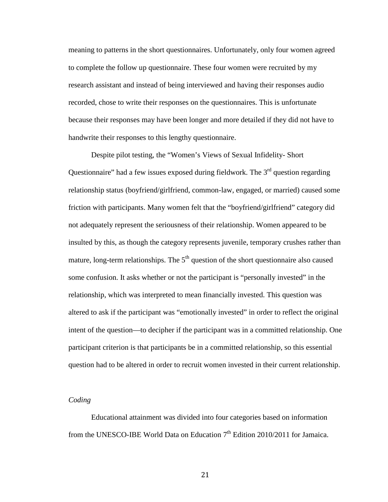meaning to patterns in the short questionnaires. Unfortunately, only four women agreed to complete the follow up questionnaire. These four women were recruited by my research assistant and instead of being interviewed and having their responses audio recorded, chose to write their responses on the questionnaires. This is unfortunate because their responses may have been longer and more detailed if they did not have to handwrite their responses to this lengthy questionnaire.

Despite pilot testing, the "Women's Views of Sexual Infidelity- Short Questionnaire" had a few issues exposed during fieldwork. The  $3<sup>rd</sup>$  question regarding relationship status (boyfriend/girlfriend, common-law, engaged, or married) caused some friction with participants. Many women felt that the "boyfriend/girlfriend" category did not adequately represent the seriousness of their relationship. Women appeared to be insulted by this, as though the category represents juvenile, temporary crushes rather than mature, long-term relationships. The  $5<sup>th</sup>$  question of the short questionnaire also caused some confusion. It asks whether or not the participant is "personally invested" in the relationship, which was interpreted to mean financially invested. This question was altered to ask if the participant was "emotionally invested" in order to reflect the original intent of the question—to decipher if the participant was in a committed relationship. One participant criterion is that participants be in a committed relationship, so this essential question had to be altered in order to recruit women invested in their current relationship.

#### *Coding*

Educational attainment was divided into four categories based on information from the UNESCO-IBE World Data on Education  $7<sup>th</sup>$  Edition 2010/2011 for Jamaica.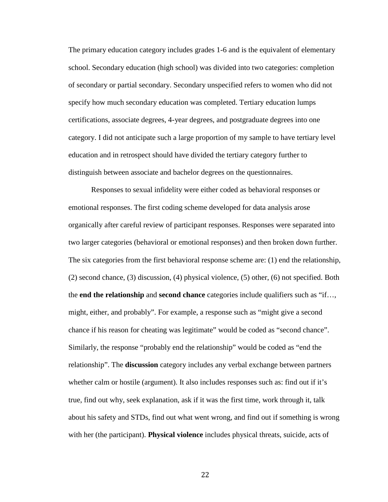The primary education category includes grades 1-6 and is the equivalent of elementary school. Secondary education (high school) was divided into two categories: completion of secondary or partial secondary. Secondary unspecified refers to women who did not specify how much secondary education was completed. Tertiary education lumps certifications, associate degrees, 4-year degrees, and postgraduate degrees into one category. I did not anticipate such a large proportion of my sample to have tertiary level education and in retrospect should have divided the tertiary category further to distinguish between associate and bachelor degrees on the questionnaires.

Responses to sexual infidelity were either coded as behavioral responses or emotional responses. The first coding scheme developed for data analysis arose organically after careful review of participant responses. Responses were separated into two larger categories (behavioral or emotional responses) and then broken down further. The six categories from the first behavioral response scheme are: (1) end the relationship, (2) second chance, (3) discussion, (4) physical violence, (5) other, (6) not specified. Both the **end the relationship** and **second chance** categories include qualifiers such as "if…, might, either, and probably". For example, a response such as "might give a second chance if his reason for cheating was legitimate" would be coded as "second chance". Similarly, the response "probably end the relationship" would be coded as "end the relationship". The **discussion** category includes any verbal exchange between partners whether calm or hostile (argument). It also includes responses such as: find out if it's true, find out why, seek explanation, ask if it was the first time, work through it, talk about his safety and STDs, find out what went wrong, and find out if something is wrong with her (the participant). **Physical violence** includes physical threats, suicide, acts of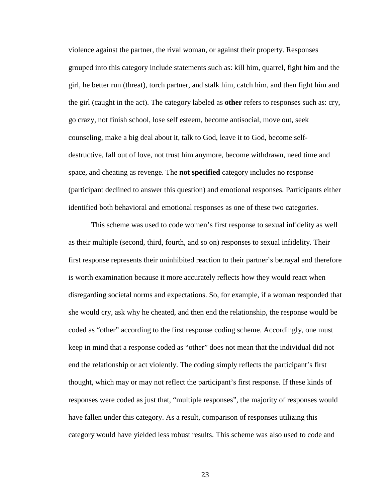violence against the partner, the rival woman, or against their property. Responses grouped into this category include statements such as: kill him, quarrel, fight him and the girl, he better run (threat), torch partner, and stalk him, catch him, and then fight him and the girl (caught in the act). The category labeled as **other** refers to responses such as: cry, go crazy, not finish school, lose self esteem, become antisocial, move out, seek counseling, make a big deal about it, talk to God, leave it to God, become selfdestructive, fall out of love, not trust him anymore, become withdrawn, need time and space, and cheating as revenge. The **not specified** category includes no response (participant declined to answer this question) and emotional responses. Participants either identified both behavioral and emotional responses as one of these two categories.

This scheme was used to code women's first response to sexual infidelity as well as their multiple (second, third, fourth, and so on) responses to sexual infidelity. Their first response represents their uninhibited reaction to their partner's betrayal and therefore is worth examination because it more accurately reflects how they would react when disregarding societal norms and expectations. So, for example, if a woman responded that she would cry, ask why he cheated, and then end the relationship, the response would be coded as "other" according to the first response coding scheme. Accordingly, one must keep in mind that a response coded as "other" does not mean that the individual did not end the relationship or act violently. The coding simply reflects the participant's first thought, which may or may not reflect the participant's first response. If these kinds of responses were coded as just that, "multiple responses", the majority of responses would have fallen under this category. As a result, comparison of responses utilizing this category would have yielded less robust results. This scheme was also used to code and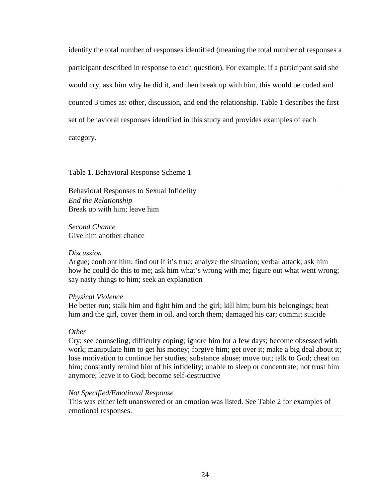identify the total number of responses identified (meaning the total number of responses a participant described in response to each question). For example, if a participant said she would cry, ask him why he did it, and then break up with him, this would be coded and counted 3 times as: other, discussion, and end the relationship. Table 1 describes the first set of behavioral responses identified in this study and provides examples of each category.

Table 1. Behavioral Response Scheme 1

Behavioral Responses to Sexual Infidelity *End the Relationship*

Break up with him; leave him

*Second Chance* Give him another chance

## *Discussion*

Argue; confront him; find out if it's true; analyze the situation; verbal attack; ask him how he could do this to me; ask him what's wrong with me; figure out what went wrong; say nasty things to him; seek an explanation

## *Physical Violence*

He better run; stalk him and fight him and the girl; kill him; burn his belongings; beat him and the girl, cover them in oil, and torch them; damaged his car; commit suicide

## *Other*

Cry; see counseling; difficulty coping; ignore him for a few days; become obsessed with work; manipulate him to get his money; forgive him; get over it; make a big deal about it; lose motivation to continue her studies; substance abuse; move out; talk to God; cheat on him; constantly remind him of his infidelity; unable to sleep or concentrate; not trust him anymore; leave it to God; become self-destructive

## *Not Specified/Emotional Response*

This was either left unanswered or an emotion was listed. See Table 2 for examples of emotional responses.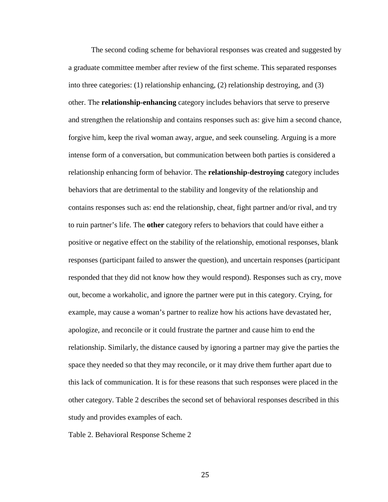The second coding scheme for behavioral responses was created and suggested by a graduate committee member after review of the first scheme. This separated responses into three categories: (1) relationship enhancing, (2) relationship destroying, and (3) other. The **relationship-enhancing** category includes behaviors that serve to preserve and strengthen the relationship and contains responses such as: give him a second chance, forgive him, keep the rival woman away, argue, and seek counseling. Arguing is a more intense form of a conversation, but communication between both parties is considered a relationship enhancing form of behavior. The **relationship-destroying** category includes behaviors that are detrimental to the stability and longevity of the relationship and contains responses such as: end the relationship, cheat, fight partner and/or rival, and try to ruin partner's life. The **other** category refers to behaviors that could have either a positive or negative effect on the stability of the relationship, emotional responses, blank responses (participant failed to answer the question), and uncertain responses (participant responded that they did not know how they would respond). Responses such as cry, move out, become a workaholic, and ignore the partner were put in this category. Crying, for example, may cause a woman's partner to realize how his actions have devastated her, apologize, and reconcile or it could frustrate the partner and cause him to end the relationship. Similarly, the distance caused by ignoring a partner may give the parties the space they needed so that they may reconcile, or it may drive them further apart due to this lack of communication. It is for these reasons that such responses were placed in the other category. Table 2 describes the second set of behavioral responses described in this study and provides examples of each.

Table 2. Behavioral Response Scheme 2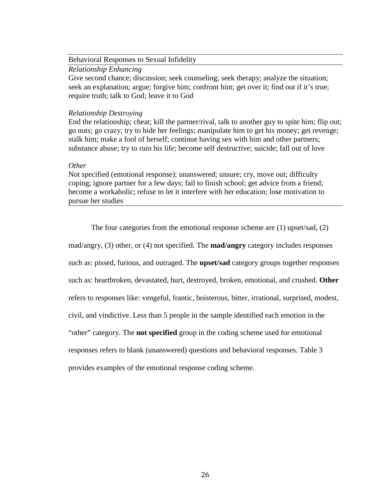#### Behavioral Responses to Sexual Infidelity

#### *Relationship Enhancing*

Give second chance; discussion; seek counseling; seek therapy; analyze the situation; seek an explanation; argue; forgive him; confront him; get over it; find out if it's true; require truth; talk to God; leave it to God

#### *Relationship Destroying*

End the relationship; cheat; kill the partner/rival, talk to another guy to spite him; flip out; go nuts; go crazy; try to hide her feelings; manipulate him to get his money; get revenge; stalk him; make a fool of herself; continue having sex with him and other partners; substance abuse; try to ruin his life; become self destructive; suicide; fall out of love

#### *Other*

Not specified (emotional response); unanswered; unsure; cry, move out; difficulty coping; ignore partner for a few days; fail to finish school; get advice from a friend; become a workaholic; refuse to let it interfere with her education; lose motivation to pursue her studies

The four categories from the emotional response scheme are (1) upset/sad, (2) mad/angry, (3) other, or (4) not specified. The **mad/angry** category includes responses such as: pissed, furious, and outraged. The **upset/sad** category groups together responses such as: heartbroken, devastated, hurt, destroyed, broken, emotional, and crushed. **Other** refers to responses like: vengeful, frantic, boisterous, bitter, irrational, surprised, modest, civil, and vindictive. Less than 5 people in the sample identified each emotion in the "other" category. The **not specified** group in the coding scheme used for emotional responses refers to blank (unanswered) questions and behavioral responses. Table 3 provides examples of the emotional response coding scheme.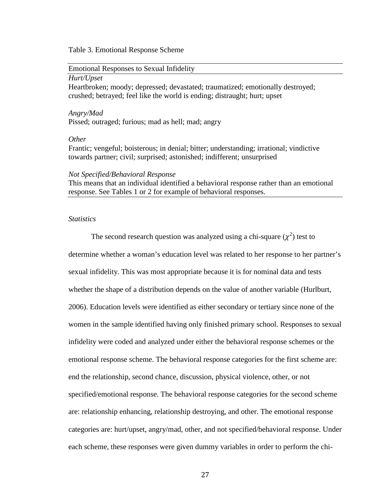#### Table 3. Emotional Response Scheme

# Emotional Responses to Sexual Infidelity

#### *Hurt/Upset*

Heartbroken; moody; depressed; devastated; traumatized; emotionally destroyed; crushed; betrayed; feel like the world is ending; distraught; hurt; upset

## *Angry/Mad* Pissed; outraged; furious; mad as hell; mad; angry

### *Other*

Frantic; vengeful; boisterous; in denial; bitter; understanding; irrational; vindictive towards partner; civil; surprised; astonished; indifferent; unsurprised

#### *Not Specified/Behavioral Response*

This means that an individual identified a behavioral response rather than an emotional response. See Tables 1 or 2 for example of behavioral responses.

### *Statistics*

The second research question was analyzed using a chi-square  $(\chi^2)$  test to determine whether a woman's education level was related to her response to her partner's sexual infidelity. This was most appropriate because it is for nominal data and tests whether the shape of a distribution depends on the value of another variable (Hurlburt, 2006). Education levels were identified as either secondary or tertiary since none of the women in the sample identified having only finished primary school. Responses to sexual infidelity were coded and analyzed under either the behavioral response schemes or the emotional response scheme. The behavioral response categories for the first scheme are: end the relationship, second chance, discussion, physical violence, other, or not specified/emotional response. The behavioral response categories for the second scheme are: relationship enhancing, relationship destroying, and other. The emotional response categories are: hurt/upset, angry/mad, other, and not specified/behavioral response. Under each scheme, these responses were given dummy variables in order to perform the chi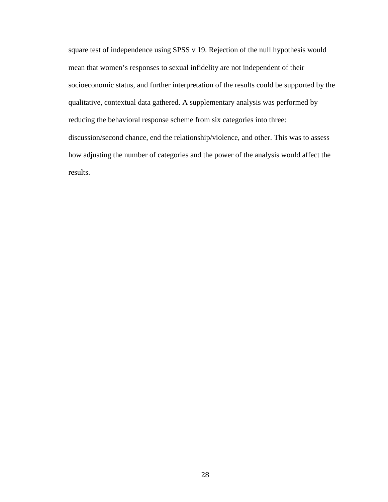square test of independence using SPSS v 19. Rejection of the null hypothesis would mean that women's responses to sexual infidelity are not independent of their socioeconomic status, and further interpretation of the results could be supported by the qualitative, contextual data gathered. A supplementary analysis was performed by reducing the behavioral response scheme from six categories into three: discussion/second chance, end the relationship/violence, and other. This was to assess how adjusting the number of categories and the power of the analysis would affect the results.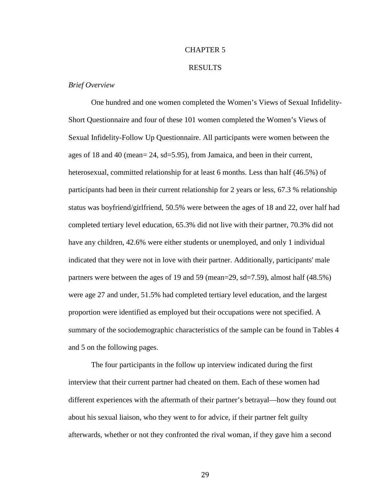# CHAPTER 5

#### RESULTS

### *Brief Overview*

One hundred and one women completed the Women's Views of Sexual Infidelity-Short Questionnaire and four of these 101 women completed the Women's Views of Sexual Infidelity-Follow Up Questionnaire. All participants were women between the ages of 18 and 40 (mean= 24, sd=5.95), from Jamaica, and been in their current, heterosexual, committed relationship for at least 6 months. Less than half (46.5%) of participants had been in their current relationship for 2 years or less, 67.3 % relationship status was boyfriend/girlfriend, 50.5% were between the ages of 18 and 22, over half had completed tertiary level education, 65.3% did not live with their partner, 70.3% did not have any children, 42.6% were either students or unemployed, and only 1 individual indicated that they were not in love with their partner. Additionally, participants' male partners were between the ages of 19 and 59 (mean=29, sd=7.59), almost half (48.5%) were age 27 and under, 51.5% had completed tertiary level education, and the largest proportion were identified as employed but their occupations were not specified. A summary of the sociodemographic characteristics of the sample can be found in Tables 4 and 5 on the following pages.

The four participants in the follow up interview indicated during the first interview that their current partner had cheated on them. Each of these women had different experiences with the aftermath of their partner's betrayal—how they found out about his sexual liaison, who they went to for advice, if their partner felt guilty afterwards, whether or not they confronted the rival woman, if they gave him a second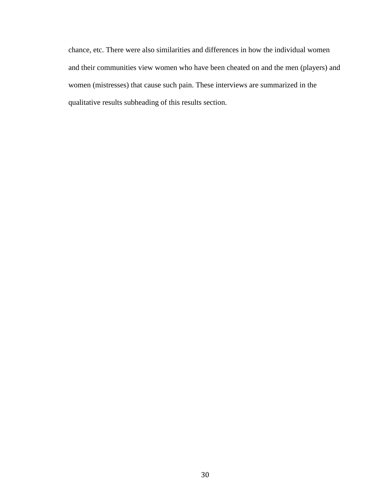chance, etc. There were also similarities and differences in how the individual women and their communities view women who have been cheated on and the men (players) and women (mistresses) that cause such pain. These interviews are summarized in the qualitative results subheading of this results section.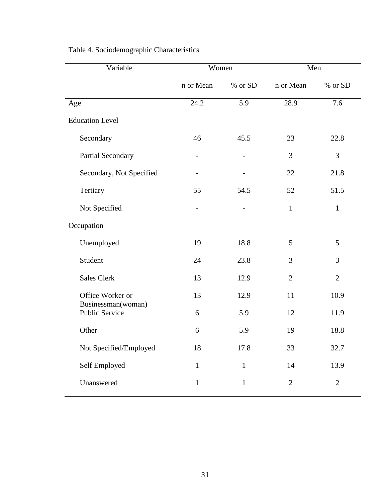| Variable                             | Women                    |              | Men            |                |
|--------------------------------------|--------------------------|--------------|----------------|----------------|
|                                      | n or Mean                | % or SD      | n or Mean      | % or SD        |
| Age                                  | 24.2                     | 5.9          | 28.9           | 7.6            |
| <b>Education Level</b>               |                          |              |                |                |
| Secondary                            | 46                       | 45.5         | 23             | 22.8           |
| Partial Secondary                    |                          |              | 3              | 3              |
| Secondary, Not Specified             |                          |              | 22             | 21.8           |
| Tertiary                             | 55                       | 54.5         | 52             | 51.5           |
| Not Specified                        | $\overline{\phantom{a}}$ |              | $\mathbf{1}$   | $\mathbf{1}$   |
| Occupation                           |                          |              |                |                |
| Unemployed                           | 19                       | 18.8         | 5              | 5              |
| Student                              | 24                       | 23.8         | 3              | 3              |
| Sales Clerk                          | 13                       | 12.9         | $\overline{2}$ | $\overline{2}$ |
| Office Worker or                     | 13                       | 12.9         | 11             | 10.9           |
| Businessman(woman)<br>Public Service | 6                        | 5.9          | 12             | 11.9           |
| Other                                | 6                        | 5.9          | 19             | 18.8           |
| Not Specified/Employed               | 18                       | 17.8         | 33             | 32.7           |
| Self Employed                        | $\mathbf{1}$             | $\mathbf{1}$ | 14             | 13.9           |
| Unanswered                           | $\mathbf{1}$             | $\mathbf{1}$ | $\mathbf{2}$   | $\sqrt{2}$     |

# Table 4. Sociodemographic Characteristics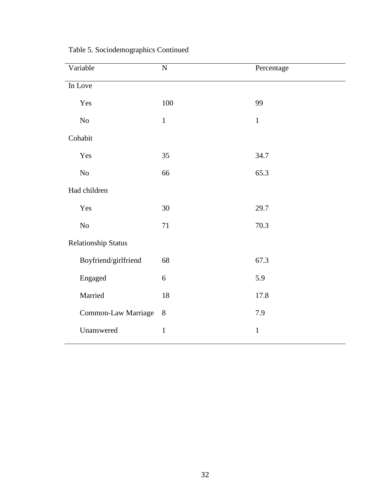| Variable                   | $\overline{N}$ | Percentage   |
|----------------------------|----------------|--------------|
| In Love                    |                |              |
| Yes                        | 100            | 99           |
| No                         | $\mathbf 1$    | $\mathbf 1$  |
| Cohabit                    |                |              |
| Yes                        | 35             | 34.7         |
| $\rm No$                   | 66             | 65.3         |
| Had children               |                |              |
| Yes                        | 30             | 29.7         |
| $\rm No$                   | 71             | 70.3         |
| <b>Relationship Status</b> |                |              |
| Boyfriend/girlfriend       | 68             | 67.3         |
| Engaged                    | $\sqrt{6}$     | 5.9          |
| Married                    | 18             | 17.8         |
| Common-Law Marriage        | 8              | 7.9          |
| Unanswered                 | $\mathbf{1}$   | $\mathbf{1}$ |

Table 5. Sociodemographics Continued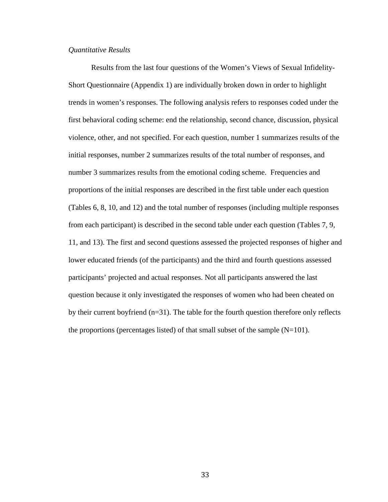## *Quantitative Results*

Results from the last four questions of the Women's Views of Sexual Infidelity-Short Questionnaire (Appendix 1) are individually broken down in order to highlight trends in women's responses. The following analysis refers to responses coded under the first behavioral coding scheme: end the relationship, second chance, discussion, physical violence, other, and not specified. For each question, number 1 summarizes results of the initial responses, number 2 summarizes results of the total number of responses, and number 3 summarizes results from the emotional coding scheme. Frequencies and proportions of the initial responses are described in the first table under each question (Tables 6, 8, 10, and 12) and the total number of responses (including multiple responses from each participant) is described in the second table under each question (Tables 7, 9, 11, and 13). The first and second questions assessed the projected responses of higher and lower educated friends (of the participants) and the third and fourth questions assessed participants' projected and actual responses. Not all participants answered the last question because it only investigated the responses of women who had been cheated on by their current boyfriend (n=31). The table for the fourth question therefore only reflects the proportions (percentages listed) of that small subset of the sample  $(N=101)$ .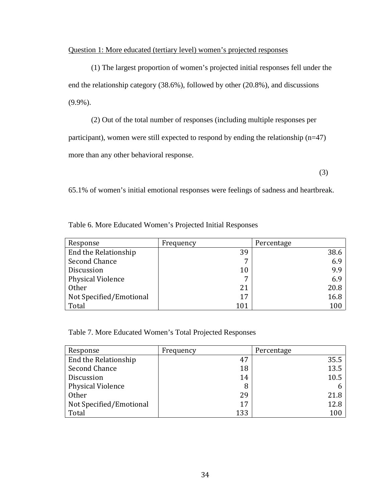# Question 1: More educated (tertiary level) women's projected responses

(1) The largest proportion of women's projected initial responses fell under the end the relationship category (38.6%), followed by other (20.8%), and discussions (9.9%).

(2) Out of the total number of responses (including multiple responses per participant), women were still expected to respond by ending the relationship (n=47) more than any other behavioral response.

(3)

65.1% of women's initial emotional responses were feelings of sadness and heartbreak.

| Response                | Frequency | Percentage |
|-------------------------|-----------|------------|
| End the Relationship    | 39        | 38.6       |
| Second Chance           | 7         | 6.9        |
| <b>Discussion</b>       | 10        | 9.9        |
| Physical Violence       | 7         | 6.9        |
| <b>Other</b>            | 21        | 20.8       |
| Not Specified/Emotional | 17        | 16.8       |
| Total                   | 101       | 100        |

Table 6. More Educated Women's Projected Initial Responses

Table 7. More Educated Women's Total Projected Responses

| Response                | Frequency | Percentage |
|-------------------------|-----------|------------|
| End the Relationship    | 47        | 35.5       |
| Second Chance           | 18        | 13.5       |
| Discussion              | 14        | 10.5       |
| Physical Violence       | 8         |            |
| <b>Other</b>            | 29        | 21.8       |
| Not Specified/Emotional | 17        | 12.8       |
| Total                   | 133       | 100        |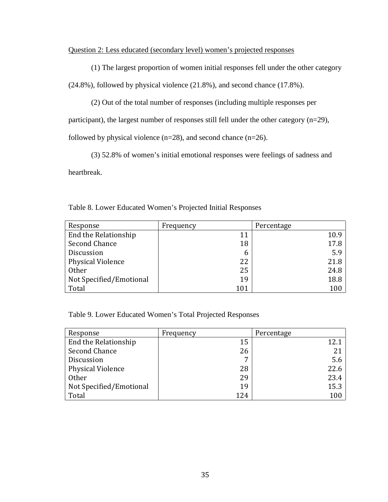# Question 2: Less educated (secondary level) women's projected responses

(1) The largest proportion of women initial responses fell under the other category

(24.8%), followed by physical violence (21.8%), and second chance (17.8%).

(2) Out of the total number of responses (including multiple responses per

participant), the largest number of responses still fell under the other category (n=29),

followed by physical violence  $(n=28)$ , and second chance  $(n=26)$ .

(3) 52.8% of women's initial emotional responses were feelings of sadness and heartbreak.

| Response                 | Frequency | Percentage |
|--------------------------|-----------|------------|
| End the Relationship     | 11        | 10.9       |
| Second Chance            | 18        | 17.8       |
| Discussion               | 6         | 5.9        |
| <b>Physical Violence</b> | 22        | 21.8       |
| <b>Other</b>             | 25        | 24.8       |
| Not Specified/Emotional  | 19        | 18.8       |
| Total                    | 101       | 100        |

Table 9. Lower Educated Women's Total Projected Responses

| Response                 | Frequency | Percentage |
|--------------------------|-----------|------------|
| End the Relationship     | 15        | 12.1       |
| Second Chance            | 26        | 21         |
| Discussion               | 7         | 5.6        |
| <b>Physical Violence</b> | 28        | 22.6       |
| Other                    | 29        | 23.4       |
| Not Specified/Emotional  | 19        | 15.3       |
| Total                    | 124       | 100        |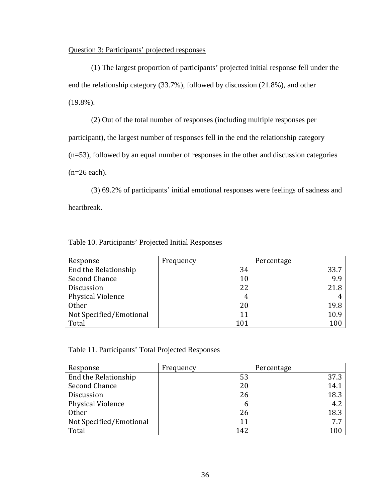# Question 3: Participants' projected responses

(1) The largest proportion of participants' projected initial response fell under the end the relationship category (33.7%), followed by discussion (21.8%), and other (19.8%).

(2) Out of the total number of responses (including multiple responses per participant), the largest number of responses fell in the end the relationship category (n=53), followed by an equal number of responses in the other and discussion categories  $(n=26$  each).

(3) 69.2% of participants' initial emotional responses were feelings of sadness and heartbreak.

| Response                | Frequency | Percentage |
|-------------------------|-----------|------------|
| End the Relationship    | 34        | 33.7       |
| Second Chance           | 10        | 9.9        |
| Discussion              | 22        | 21.8       |
| Physical Violence       | 4         |            |
| <b>Other</b>            | 20        | 19.8       |
| Not Specified/Emotional | 11        | 10.9       |
| Total                   | 101       | 100        |

Table 10. Participants' Projected Initial Responses

Table 11. Participants' Total Projected Responses

| Response                 | Frequency | Percentage |
|--------------------------|-----------|------------|
| End the Relationship     | 53        | 37.3       |
| Second Chance            | 20        | 14.1       |
| <b>Discussion</b>        | 26        | 18.3       |
| <b>Physical Violence</b> | 6         | 4.2        |
| Other                    | 26        | 18.3       |
| Not Specified/Emotional  | 11        | 7.7        |
| Total                    | 142       | 100        |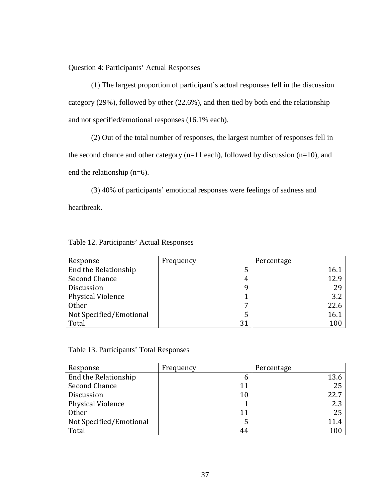# Question 4: Participants' Actual Responses

(1) The largest proportion of participant's actual responses fell in the discussion category (29%), followed by other (22.6%), and then tied by both end the relationship and not specified/emotional responses (16.1% each).

(2) Out of the total number of responses, the largest number of responses fell in

the second chance and other category (n=11 each), followed by discussion (n=10), and end the relationship (n=6).

(3) 40% of participants' emotional responses were feelings of sadness and heartbreak.

|  | Table 12. Participants' Actual Responses |  |  |
|--|------------------------------------------|--|--|
|--|------------------------------------------|--|--|

| Response                | Frequency | Percentage |
|-------------------------|-----------|------------|
| End the Relationship    | 5         | 16.1       |
| Second Chance           | 4         | 12.9       |
| <b>Discussion</b>       | q         | 29         |
| Physical Violence       |           | 3.2        |
| <b>Other</b>            | 7         | 22.6       |
| Not Specified/Emotional | 5         | 16.1       |
| Total                   | 31        | 100        |

Table 13. Participants' Total Responses

| Response                 | Frequency | Percentage |
|--------------------------|-----------|------------|
| End the Relationship     | b         | 13.6       |
| Second Chance            | 11        | 25         |
| <b>Discussion</b>        | 10        | 22.7       |
| <b>Physical Violence</b> |           | 2.3        |
| Other                    | 11        | 25         |
| Not Specified/Emotional  | 5         | 11.4       |
| Total                    | 44        | 100        |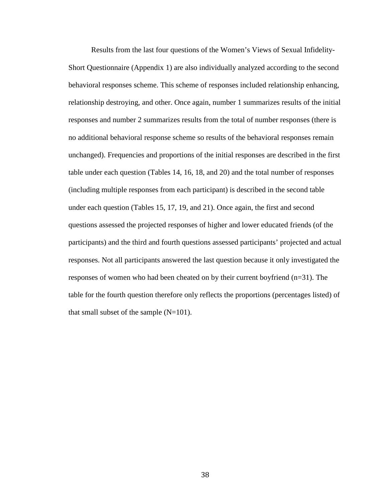Results from the last four questions of the Women's Views of Sexual Infidelity-Short Questionnaire (Appendix 1) are also individually analyzed according to the second behavioral responses scheme. This scheme of responses included relationship enhancing, relationship destroying, and other. Once again, number 1 summarizes results of the initial responses and number 2 summarizes results from the total of number responses (there is no additional behavioral response scheme so results of the behavioral responses remain unchanged). Frequencies and proportions of the initial responses are described in the first table under each question (Tables 14, 16, 18, and 20) and the total number of responses (including multiple responses from each participant) is described in the second table under each question (Tables 15, 17, 19, and 21). Once again, the first and second questions assessed the projected responses of higher and lower educated friends (of the participants) and the third and fourth questions assessed participants' projected and actual responses. Not all participants answered the last question because it only investigated the responses of women who had been cheated on by their current boyfriend (n=31). The table for the fourth question therefore only reflects the proportions (percentages listed) of that small subset of the sample  $(N=101)$ .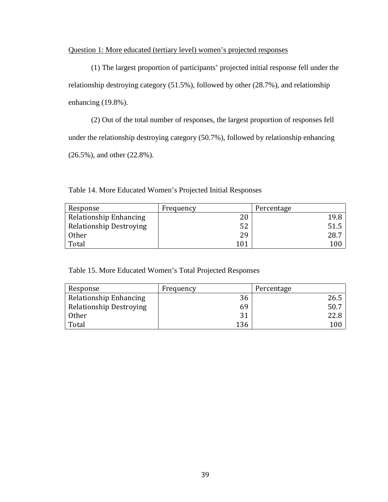# Question 1: More educated (tertiary level) women's projected responses

(1) The largest proportion of participants' projected initial response fell under the relationship destroying category (51.5%), followed by other (28.7%), and relationship enhancing (19.8%).

(2) Out of the total number of responses, the largest proportion of responses fell under the relationship destroying category (50.7%), followed by relationship enhancing (26.5%), and other (22.8%).

| Response                       | Frequency | Percentage |
|--------------------------------|-----------|------------|
| Relationship Enhancing         | 20        | 19.8       |
| <b>Relationship Destroying</b> | 52        | 51.5       |
| <b>Other</b>                   | 29        | 28.7       |
| Total                          | 101       | 100        |

Table 14. More Educated Women's Projected Initial Responses

Table 15. More Educated Women's Total Projected Responses

| Response                       | Frequency | Percentage |
|--------------------------------|-----------|------------|
| Relationship Enhancing         | 36        |            |
| <b>Relationship Destroying</b> | 69        | 50.        |
| <b>Other</b>                   |           |            |
| Total                          | 136       | 100        |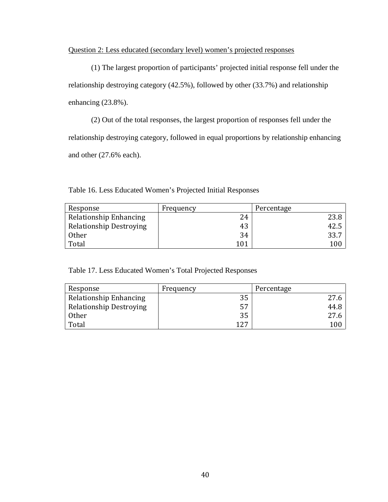# Question 2: Less educated (secondary level) women's projected responses

(1) The largest proportion of participants' projected initial response fell under the relationship destroying category (42.5%), followed by other (33.7%) and relationship enhancing (23.8%).

(2) Out of the total responses, the largest proportion of responses fell under the relationship destroying category, followed in equal proportions by relationship enhancing and other (27.6% each).

| Response                       | Frequency | Percentage |
|--------------------------------|-----------|------------|
| Relationship Enhancing         | 24        |            |
| <b>Relationship Destroying</b> | 43        | 42.5       |
| <b>Other</b>                   | 34        | 33.7       |
| Total                          | 101       | 100        |

Table 16. Less Educated Women's Projected Initial Responses

Table 17. Less Educated Women's Total Projected Responses

| Response                       | Frequency | Percentage |
|--------------------------------|-----------|------------|
| Relationship Enhancing         | 35        |            |
| <b>Relationship Destroying</b> | 57        | 44.8       |
| <b>Other</b>                   | 35        | 27.6       |
| Total                          | 127       | 100        |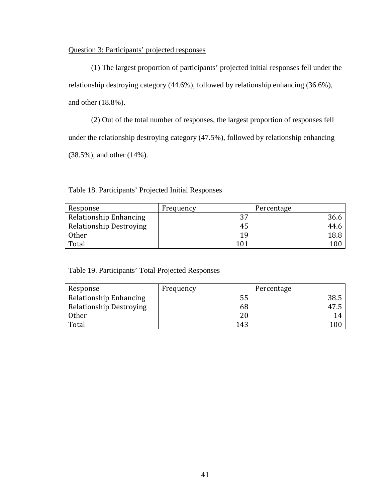# Question 3: Participants' projected responses

(1) The largest proportion of participants' projected initial responses fell under the relationship destroying category (44.6%), followed by relationship enhancing (36.6%), and other (18.8%).

(2) Out of the total number of responses, the largest proportion of responses fell under the relationship destroying category (47.5%), followed by relationship enhancing (38.5%), and other (14%).

Table 18. Participants' Projected Initial Responses

| Response                       | Frequency | Percentage |
|--------------------------------|-----------|------------|
| Relationship Enhancing         | 27        | 36.6       |
| <b>Relationship Destroying</b> | 45        | 44.6       |
| Other                          | 19        | 18.8       |
| Total                          | 101       | $100\,$    |

Table 19. Participants' Total Projected Responses

| Response                       | Frequency | Percentage |
|--------------------------------|-----------|------------|
| Relationship Enhancing         | 55        | 38.5       |
| <b>Relationship Destroying</b> | 68        | 47.5       |
| <b>Other</b>                   | 20        | 14         |
| Total                          | 143       | 100        |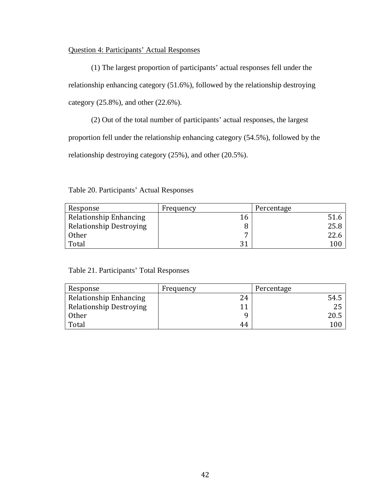# Question 4: Participants' Actual Responses

(1) The largest proportion of participants' actual responses fell under the relationship enhancing category (51.6%), followed by the relationship destroying category (25.8%), and other (22.6%).

(2) Out of the total number of participants' actual responses, the largest proportion fell under the relationship enhancing category (54.5%), followed by the relationship destroying category (25%), and other (20.5%).

Table 20. Participants' Actual Responses

| Response                       | Frequency | Percentage |
|--------------------------------|-----------|------------|
| Relationship Enhancing         | 16        |            |
| <b>Relationship Destroying</b> | 8         | 25.8       |
| Other                          | –         |            |
| Total                          | 21        | 100        |

Table 21. Participants' Total Responses

| Response                       | Frequency | Percentage |
|--------------------------------|-----------|------------|
| Relationship Enhancing         | 24        | 54.5       |
| <b>Relationship Destroying</b> |           | 25         |
| <b>Other</b>                   | Q         | 20.5       |
| Total                          | 44        | 100        |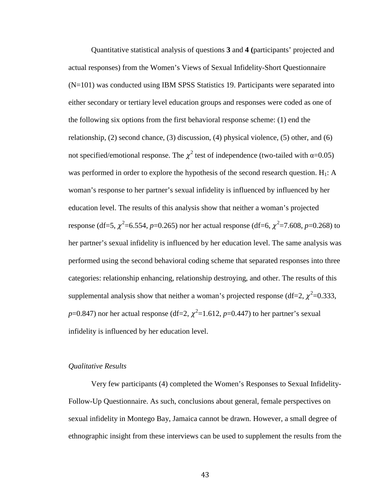Quantitative statistical analysis of questions **3** and **4 (**participants' projected and actual responses) from the Women's Views of Sexual Infidelity-Short Questionnaire (N=101) was conducted using IBM SPSS Statistics 19. Participants were separated into either secondary or tertiary level education groups and responses were coded as one of the following six options from the first behavioral response scheme: (1) end the relationship, (2) second chance, (3) discussion, (4) physical violence, (5) other, and (6) not specified/emotional response. The  $\chi^2$  test of independence (two-tailed with α=0.05) was performed in order to explore the hypothesis of the second research question.  $H_1$ : A woman's response to her partner's sexual infidelity is influenced by influenced by her education level. The results of this analysis show that neither a woman's projected response (df=5,  $\chi^2$ =6.554, *p*=0.265) nor her actual response (df=6,  $\chi^2$ =7.608, *p*=0.268) to her partner's sexual infidelity is influenced by her education level. The same analysis was performed using the second behavioral coding scheme that separated responses into three categories: relationship enhancing, relationship destroying, and other. The results of this supplemental analysis show that neither a woman's projected response (df=2,  $\chi^2$ =0.333, *p*=0.847) nor her actual response (df=2,  $\chi^2$ =1.612, *p*=0.447) to her partner's sexual infidelity is influenced by her education level.

## *Qualitative Results*

Very few participants (4) completed the Women's Responses to Sexual Infidelity-Follow-Up Questionnaire. As such, conclusions about general, female perspectives on sexual infidelity in Montego Bay, Jamaica cannot be drawn. However, a small degree of ethnographic insight from these interviews can be used to supplement the results from the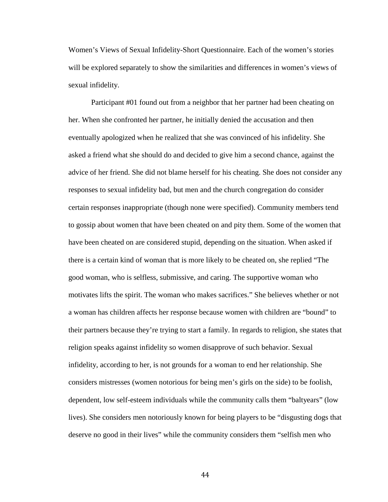Women's Views of Sexual Infidelity-Short Questionnaire. Each of the women's stories will be explored separately to show the similarities and differences in women's views of sexual infidelity.

Participant #01 found out from a neighbor that her partner had been cheating on her. When she confronted her partner, he initially denied the accusation and then eventually apologized when he realized that she was convinced of his infidelity. She asked a friend what she should do and decided to give him a second chance, against the advice of her friend. She did not blame herself for his cheating. She does not consider any responses to sexual infidelity bad, but men and the church congregation do consider certain responses inappropriate (though none were specified). Community members tend to gossip about women that have been cheated on and pity them. Some of the women that have been cheated on are considered stupid, depending on the situation. When asked if there is a certain kind of woman that is more likely to be cheated on, she replied "The good woman, who is selfless, submissive, and caring. The supportive woman who motivates lifts the spirit. The woman who makes sacrifices." She believes whether or not a woman has children affects her response because women with children are "bound" to their partners because they're trying to start a family. In regards to religion, she states that religion speaks against infidelity so women disapprove of such behavior. Sexual infidelity, according to her, is not grounds for a woman to end her relationship. She considers mistresses (women notorious for being men's girls on the side) to be foolish, dependent, low self-esteem individuals while the community calls them "baltyears" (low lives). She considers men notoriously known for being players to be "disgusting dogs that deserve no good in their lives" while the community considers them "selfish men who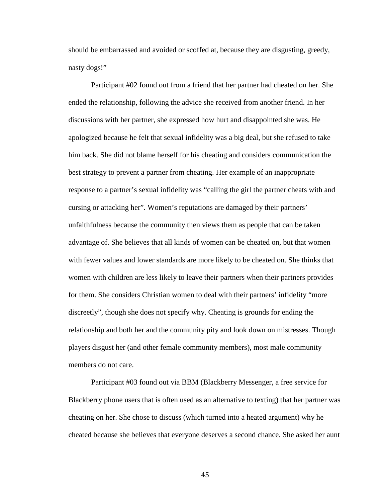should be embarrassed and avoided or scoffed at, because they are disgusting, greedy, nasty dogs!"

Participant #02 found out from a friend that her partner had cheated on her. She ended the relationship, following the advice she received from another friend. In her discussions with her partner, she expressed how hurt and disappointed she was. He apologized because he felt that sexual infidelity was a big deal, but she refused to take him back. She did not blame herself for his cheating and considers communication the best strategy to prevent a partner from cheating. Her example of an inappropriate response to a partner's sexual infidelity was "calling the girl the partner cheats with and cursing or attacking her". Women's reputations are damaged by their partners' unfaithfulness because the community then views them as people that can be taken advantage of. She believes that all kinds of women can be cheated on, but that women with fewer values and lower standards are more likely to be cheated on. She thinks that women with children are less likely to leave their partners when their partners provides for them. She considers Christian women to deal with their partners' infidelity "more discreetly", though she does not specify why. Cheating is grounds for ending the relationship and both her and the community pity and look down on mistresses. Though players disgust her (and other female community members), most male community members do not care.

Participant #03 found out via BBM (Blackberry Messenger, a free service for Blackberry phone users that is often used as an alternative to texting) that her partner was cheating on her. She chose to discuss (which turned into a heated argument) why he cheated because she believes that everyone deserves a second chance. She asked her aunt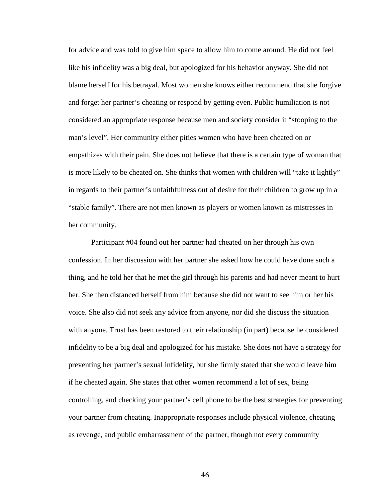for advice and was told to give him space to allow him to come around. He did not feel like his infidelity was a big deal, but apologized for his behavior anyway. She did not blame herself for his betrayal. Most women she knows either recommend that she forgive and forget her partner's cheating or respond by getting even. Public humiliation is not considered an appropriate response because men and society consider it "stooping to the man's level". Her community either pities women who have been cheated on or empathizes with their pain. She does not believe that there is a certain type of woman that is more likely to be cheated on. She thinks that women with children will "take it lightly" in regards to their partner's unfaithfulness out of desire for their children to grow up in a "stable family". There are not men known as players or women known as mistresses in her community.

Participant #04 found out her partner had cheated on her through his own confession. In her discussion with her partner she asked how he could have done such a thing, and he told her that he met the girl through his parents and had never meant to hurt her. She then distanced herself from him because she did not want to see him or her his voice. She also did not seek any advice from anyone, nor did she discuss the situation with anyone. Trust has been restored to their relationship (in part) because he considered infidelity to be a big deal and apologized for his mistake. She does not have a strategy for preventing her partner's sexual infidelity, but she firmly stated that she would leave him if he cheated again. She states that other women recommend a lot of sex, being controlling, and checking your partner's cell phone to be the best strategies for preventing your partner from cheating. Inappropriate responses include physical violence, cheating as revenge, and public embarrassment of the partner, though not every community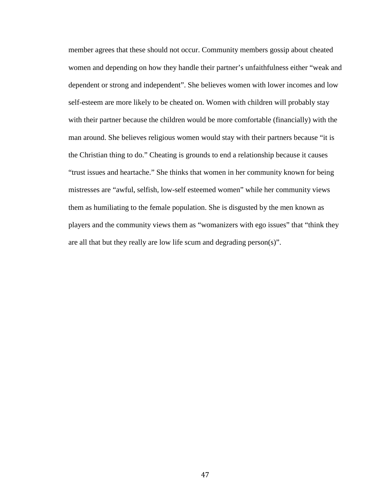member agrees that these should not occur. Community members gossip about cheated women and depending on how they handle their partner's unfaithfulness either "weak and dependent or strong and independent". She believes women with lower incomes and low self-esteem are more likely to be cheated on. Women with children will probably stay with their partner because the children would be more comfortable (financially) with the man around. She believes religious women would stay with their partners because "it is the Christian thing to do." Cheating is grounds to end a relationship because it causes "trust issues and heartache." She thinks that women in her community known for being mistresses are "awful, selfish, low-self esteemed women" while her community views them as humiliating to the female population. She is disgusted by the men known as players and the community views them as "womanizers with ego issues" that "think they are all that but they really are low life scum and degrading person(s)".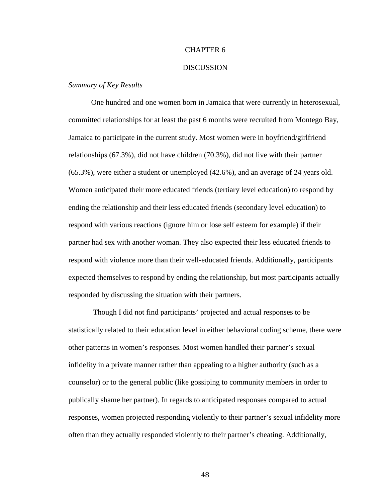# CHAPTER 6

#### **DISCUSSION**

## *Summary of Key Results*

One hundred and one women born in Jamaica that were currently in heterosexual, committed relationships for at least the past 6 months were recruited from Montego Bay, Jamaica to participate in the current study. Most women were in boyfriend/girlfriend relationships (67.3%), did not have children (70.3%), did not live with their partner (65.3%), were either a student or unemployed (42.6%), and an average of 24 years old. Women anticipated their more educated friends (tertiary level education) to respond by ending the relationship and their less educated friends (secondary level education) to respond with various reactions (ignore him or lose self esteem for example) if their partner had sex with another woman. They also expected their less educated friends to respond with violence more than their well-educated friends. Additionally, participants expected themselves to respond by ending the relationship, but most participants actually responded by discussing the situation with their partners.

Though I did not find participants' projected and actual responses to be statistically related to their education level in either behavioral coding scheme, there were other patterns in women's responses. Most women handled their partner's sexual infidelity in a private manner rather than appealing to a higher authority (such as a counselor) or to the general public (like gossiping to community members in order to publically shame her partner). In regards to anticipated responses compared to actual responses, women projected responding violently to their partner's sexual infidelity more often than they actually responded violently to their partner's cheating. Additionally,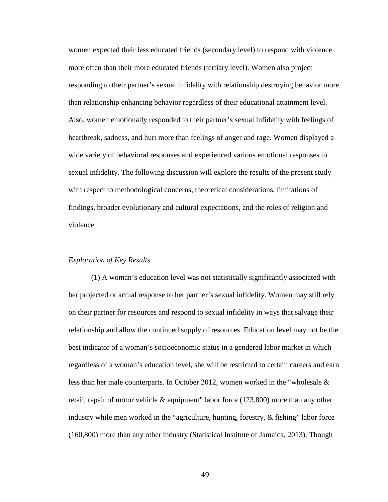women expected their less educated friends (secondary level) to respond with violence more often than their more educated friends (tertiary level). Women also project responding to their partner's sexual infidelity with relationship destroying behavior more than relationship enhancing behavior regardless of their educational attainment level. Also, women emotionally responded to their partner's sexual infidelity with feelings of heartbreak, sadness, and hurt more than feelings of anger and rage. Women displayed a wide variety of behavioral responses and experienced various emotional responses to sexual infidelity. The following discussion will explore the results of the present study with respect to methodological concerns, theoretical considerations, limitations of findings, broader evolutionary and cultural expectations, and the roles of religion and violence.

### *Exploration of Key Results*

(1) A woman's education level was not statistically significantly associated with her projected or actual response to her partner's sexual infidelity. Women may still rely on their partner for resources and respond to sexual infidelity in ways that salvage their relationship and allow the continued supply of resources. Education level may not be the best indicator of a woman's socioeconomic status in a gendered labor market in which regardless of a woman's education level, she will be restricted to certain careers and earn less than her male counterparts. In October 2012, women worked in the "wholesale & retail, repair of motor vehicle & equipment" labor force (123,800) more than any other industry while men worked in the "agriculture, hunting, forestry, & fishing" labor force (160,800) more than any other industry (Statistical Institute of Jamaica, 2013). Though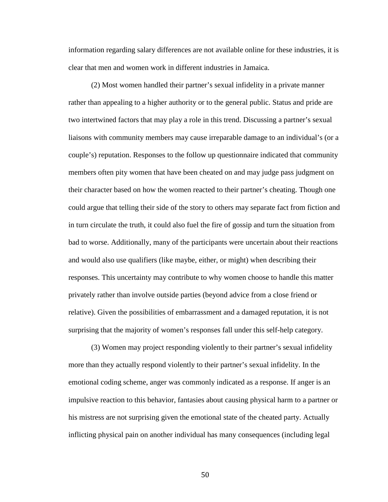information regarding salary differences are not available online for these industries, it is clear that men and women work in different industries in Jamaica.

(2) Most women handled their partner's sexual infidelity in a private manner rather than appealing to a higher authority or to the general public. Status and pride are two intertwined factors that may play a role in this trend. Discussing a partner's sexual liaisons with community members may cause irreparable damage to an individual's (or a couple's) reputation. Responses to the follow up questionnaire indicated that community members often pity women that have been cheated on and may judge pass judgment on their character based on how the women reacted to their partner's cheating. Though one could argue that telling their side of the story to others may separate fact from fiction and in turn circulate the truth, it could also fuel the fire of gossip and turn the situation from bad to worse. Additionally, many of the participants were uncertain about their reactions and would also use qualifiers (like maybe, either, or might) when describing their responses. This uncertainty may contribute to why women choose to handle this matter privately rather than involve outside parties (beyond advice from a close friend or relative). Given the possibilities of embarrassment and a damaged reputation, it is not surprising that the majority of women's responses fall under this self-help category.

(3) Women may project responding violently to their partner's sexual infidelity more than they actually respond violently to their partner's sexual infidelity. In the emotional coding scheme, anger was commonly indicated as a response. If anger is an impulsive reaction to this behavior, fantasies about causing physical harm to a partner or his mistress are not surprising given the emotional state of the cheated party. Actually inflicting physical pain on another individual has many consequences (including legal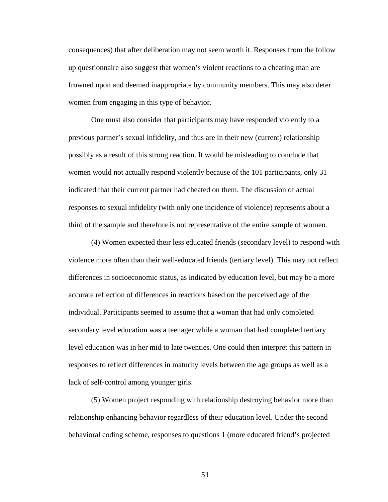consequences) that after deliberation may not seem worth it. Responses from the follow up questionnaire also suggest that women's violent reactions to a cheating man are frowned upon and deemed inappropriate by community members. This may also deter women from engaging in this type of behavior.

One must also consider that participants may have responded violently to a previous partner's sexual infidelity, and thus are in their new (current) relationship possibly as a result of this strong reaction. It would be misleading to conclude that women would not actually respond violently because of the 101 participants, only 31 indicated that their current partner had cheated on them. The discussion of actual responses to sexual infidelity (with only one incidence of violence) represents about a third of the sample and therefore is not representative of the entire sample of women.

(4) Women expected their less educated friends (secondary level) to respond with violence more often than their well-educated friends (tertiary level). This may not reflect differences in socioeconomic status, as indicated by education level, but may be a more accurate reflection of differences in reactions based on the perceived age of the individual. Participants seemed to assume that a woman that had only completed secondary level education was a teenager while a woman that had completed tertiary level education was in her mid to late twenties. One could then interpret this pattern in responses to reflect differences in maturity levels between the age groups as well as a lack of self-control among younger girls.

(5) Women project responding with relationship destroying behavior more than relationship enhancing behavior regardless of their education level. Under the second behavioral coding scheme, responses to questions 1 (more educated friend's projected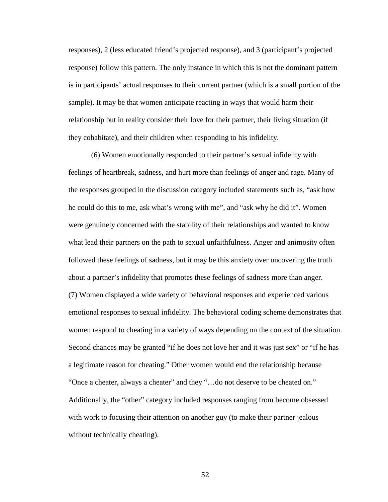responses), 2 (less educated friend's projected response), and 3 (participant's projected response) follow this pattern. The only instance in which this is not the dominant pattern is in participants' actual responses to their current partner (which is a small portion of the sample). It may be that women anticipate reacting in ways that would harm their relationship but in reality consider their love for their partner, their living situation (if they cohabitate), and their children when responding to his infidelity.

(6) Women emotionally responded to their partner's sexual infidelity with feelings of heartbreak, sadness, and hurt more than feelings of anger and rage. Many of the responses grouped in the discussion category included statements such as, "ask how he could do this to me, ask what's wrong with me", and "ask why he did it". Women were genuinely concerned with the stability of their relationships and wanted to know what lead their partners on the path to sexual unfaithfulness. Anger and animosity often followed these feelings of sadness, but it may be this anxiety over uncovering the truth about a partner's infidelity that promotes these feelings of sadness more than anger. (7) Women displayed a wide variety of behavioral responses and experienced various emotional responses to sexual infidelity. The behavioral coding scheme demonstrates that women respond to cheating in a variety of ways depending on the context of the situation. Second chances may be granted "if he does not love her and it was just sex" or "if he has a legitimate reason for cheating." Other women would end the relationship because "Once a cheater, always a cheater" and they "…do not deserve to be cheated on." Additionally, the "other" category included responses ranging from become obsessed with work to focusing their attention on another guy (to make their partner jealous without technically cheating).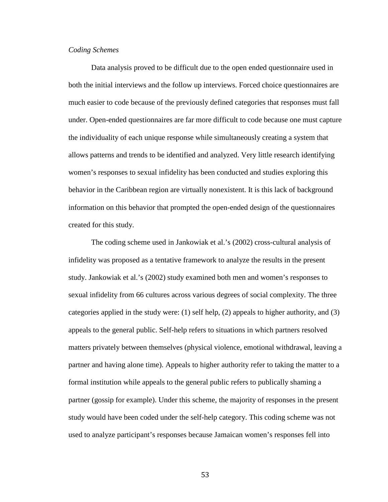# *Coding Schemes*

Data analysis proved to be difficult due to the open ended questionnaire used in both the initial interviews and the follow up interviews. Forced choice questionnaires are much easier to code because of the previously defined categories that responses must fall under. Open-ended questionnaires are far more difficult to code because one must capture the individuality of each unique response while simultaneously creating a system that allows patterns and trends to be identified and analyzed. Very little research identifying women's responses to sexual infidelity has been conducted and studies exploring this behavior in the Caribbean region are virtually nonexistent. It is this lack of background information on this behavior that prompted the open-ended design of the questionnaires created for this study.

The coding scheme used in Jankowiak et al.'s (2002) cross-cultural analysis of infidelity was proposed as a tentative framework to analyze the results in the present study. Jankowiak et al.'s (2002) study examined both men and women's responses to sexual infidelity from 66 cultures across various degrees of social complexity. The three categories applied in the study were: (1) self help, (2) appeals to higher authority, and (3) appeals to the general public. Self-help refers to situations in which partners resolved matters privately between themselves (physical violence, emotional withdrawal, leaving a partner and having alone time). Appeals to higher authority refer to taking the matter to a formal institution while appeals to the general public refers to publically shaming a partner (gossip for example). Under this scheme, the majority of responses in the present study would have been coded under the self-help category. This coding scheme was not used to analyze participant's responses because Jamaican women's responses fell into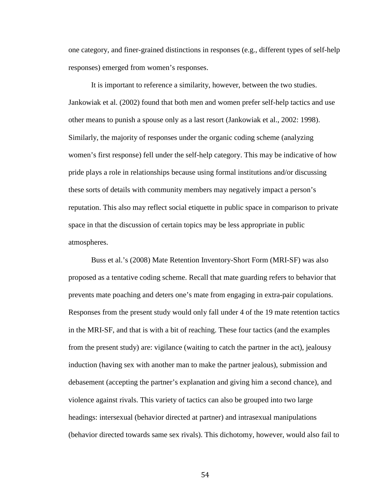one category, and finer-grained distinctions in responses (e.g., different types of self-help responses) emerged from women's responses.

It is important to reference a similarity, however, between the two studies. Jankowiak et al. (2002) found that both men and women prefer self-help tactics and use other means to punish a spouse only as a last resort (Jankowiak et al., 2002: 1998). Similarly, the majority of responses under the organic coding scheme (analyzing women's first response) fell under the self-help category. This may be indicative of how pride plays a role in relationships because using formal institutions and/or discussing these sorts of details with community members may negatively impact a person's reputation. This also may reflect social etiquette in public space in comparison to private space in that the discussion of certain topics may be less appropriate in public atmospheres.

Buss et al.'s (2008) Mate Retention Inventory-Short Form (MRI-SF) was also proposed as a tentative coding scheme. Recall that mate guarding refers to behavior that prevents mate poaching and deters one's mate from engaging in extra-pair copulations. Responses from the present study would only fall under 4 of the 19 mate retention tactics in the MRI-SF, and that is with a bit of reaching. These four tactics (and the examples from the present study) are: vigilance (waiting to catch the partner in the act), jealousy induction (having sex with another man to make the partner jealous), submission and debasement (accepting the partner's explanation and giving him a second chance), and violence against rivals. This variety of tactics can also be grouped into two large headings: intersexual (behavior directed at partner) and intrasexual manipulations (behavior directed towards same sex rivals). This dichotomy, however, would also fail to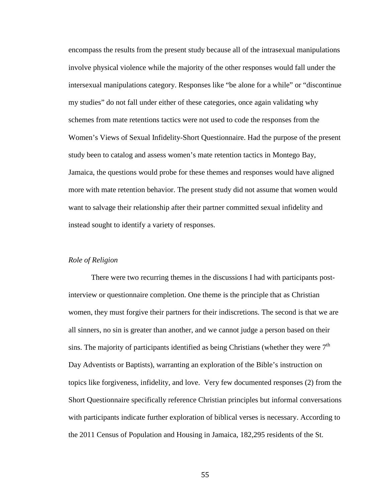encompass the results from the present study because all of the intrasexual manipulations involve physical violence while the majority of the other responses would fall under the intersexual manipulations category. Responses like "be alone for a while" or "discontinue my studies" do not fall under either of these categories, once again validating why schemes from mate retentions tactics were not used to code the responses from the Women's Views of Sexual Infidelity-Short Questionnaire. Had the purpose of the present study been to catalog and assess women's mate retention tactics in Montego Bay, Jamaica, the questions would probe for these themes and responses would have aligned more with mate retention behavior. The present study did not assume that women would want to salvage their relationship after their partner committed sexual infidelity and instead sought to identify a variety of responses.

#### *Role of Religion*

There were two recurring themes in the discussions I had with participants postinterview or questionnaire completion. One theme is the principle that as Christian women, they must forgive their partners for their indiscretions. The second is that we are all sinners, no sin is greater than another, and we cannot judge a person based on their sins. The majority of participants identified as being Christians (whether they were  $7<sup>th</sup>$ Day Adventists or Baptists), warranting an exploration of the Bible's instruction on topics like forgiveness, infidelity, and love. Very few documented responses (2) from the Short Questionnaire specifically reference Christian principles but informal conversations with participants indicate further exploration of biblical verses is necessary. According to the 2011 Census of Population and Housing in Jamaica, 182,295 residents of the St.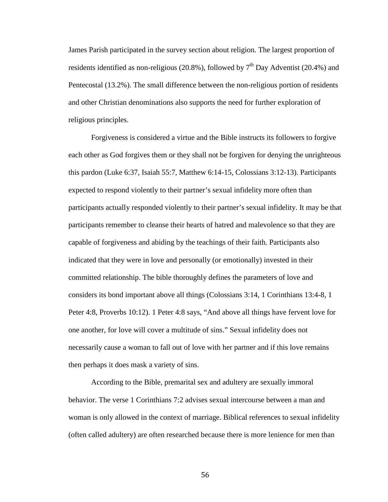James Parish participated in the survey section about religion. The largest proportion of residents identified as non-religious (20.8%), followed by  $7<sup>th</sup>$  Day Adventist (20.4%) and Pentecostal (13.2%). The small difference between the non-religious portion of residents and other Christian denominations also supports the need for further exploration of religious principles.

Forgiveness is considered a virtue and the Bible instructs its followers to forgive each other as God forgives them or they shall not be forgiven for denying the unrighteous this pardon (Luke 6:37, Isaiah 55:7, Matthew 6:14-15, Colossians 3:12-13). Participants expected to respond violently to their partner's sexual infidelity more often than participants actually responded violently to their partner's sexual infidelity. It may be that participants remember to cleanse their hearts of hatred and malevolence so that they are capable of forgiveness and abiding by the teachings of their faith. Participants also indicated that they were in love and personally (or emotionally) invested in their committed relationship. The bible thoroughly defines the parameters of love and considers its bond important above all things (Colossians 3:14, 1 Corinthians 13:4-8, 1 Peter 4:8, Proverbs 10:12). 1 Peter 4:8 says, "And above all things have fervent love for one another, for love will cover a multitude of sins." Sexual infidelity does not necessarily cause a woman to fall out of love with her partner and if this love remains then perhaps it does mask a variety of sins.

According to the Bible, premarital sex and adultery are sexually immoral behavior. The verse 1 Corinthians 7:2 advises sexual intercourse between a man and woman is only allowed in the context of marriage. Biblical references to sexual infidelity (often called adultery) are often researched because there is more lenience for men than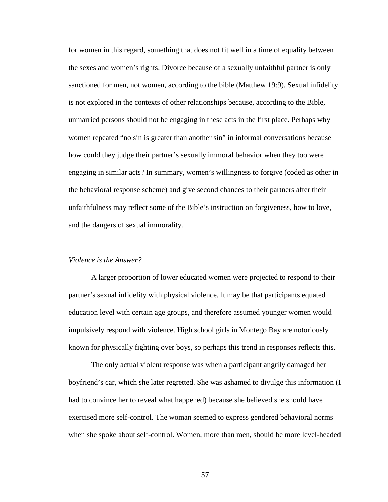for women in this regard, something that does not fit well in a time of equality between the sexes and women's rights. Divorce because of a sexually unfaithful partner is only sanctioned for men, not women, according to the bible (Matthew 19:9). Sexual infidelity is not explored in the contexts of other relationships because, according to the Bible, unmarried persons should not be engaging in these acts in the first place. Perhaps why women repeated "no sin is greater than another sin" in informal conversations because how could they judge their partner's sexually immoral behavior when they too were engaging in similar acts? In summary, women's willingness to forgive (coded as other in the behavioral response scheme) and give second chances to their partners after their unfaithfulness may reflect some of the Bible's instruction on forgiveness, how to love, and the dangers of sexual immorality.

### *Violence is the Answer?*

A larger proportion of lower educated women were projected to respond to their partner's sexual infidelity with physical violence. It may be that participants equated education level with certain age groups, and therefore assumed younger women would impulsively respond with violence. High school girls in Montego Bay are notoriously known for physically fighting over boys, so perhaps this trend in responses reflects this.

The only actual violent response was when a participant angrily damaged her boyfriend's car, which she later regretted. She was ashamed to divulge this information (I had to convince her to reveal what happened) because she believed she should have exercised more self-control. The woman seemed to express gendered behavioral norms when she spoke about self-control. Women, more than men, should be more level-headed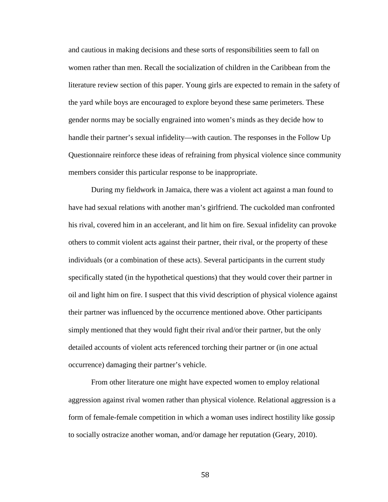and cautious in making decisions and these sorts of responsibilities seem to fall on women rather than men. Recall the socialization of children in the Caribbean from the literature review section of this paper. Young girls are expected to remain in the safety of the yard while boys are encouraged to explore beyond these same perimeters. These gender norms may be socially engrained into women's minds as they decide how to handle their partner's sexual infidelity—with caution. The responses in the Follow Up Questionnaire reinforce these ideas of refraining from physical violence since community members consider this particular response to be inappropriate.

During my fieldwork in Jamaica, there was a violent act against a man found to have had sexual relations with another man's girlfriend. The cuckolded man confronted his rival, covered him in an accelerant, and lit him on fire. Sexual infidelity can provoke others to commit violent acts against their partner, their rival, or the property of these individuals (or a combination of these acts). Several participants in the current study specifically stated (in the hypothetical questions) that they would cover their partner in oil and light him on fire. I suspect that this vivid description of physical violence against their partner was influenced by the occurrence mentioned above. Other participants simply mentioned that they would fight their rival and/or their partner, but the only detailed accounts of violent acts referenced torching their partner or (in one actual occurrence) damaging their partner's vehicle.

From other literature one might have expected women to employ relational aggression against rival women rather than physical violence. Relational aggression is a form of female-female competition in which a woman uses indirect hostility like gossip to socially ostracize another woman, and/or damage her reputation (Geary, 2010).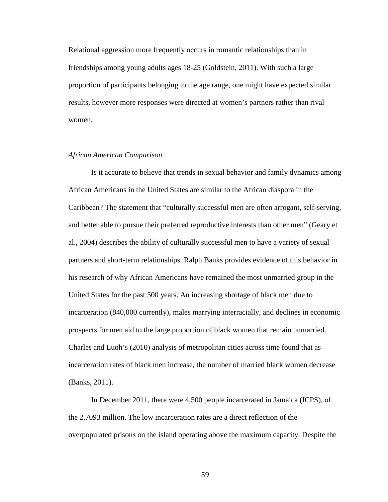Relational aggression more frequently occurs in romantic relationships than in friendships among young adults ages 18-25 (Goldstein, 2011). With such a large proportion of participants belonging to the age range, one might have expected similar results, however more responses were directed at women's partners rather than rival women.

## *African American Comparison*

Is it accurate to believe that trends in sexual behavior and family dynamics among African Americans in the United States are similar to the African diaspora in the Caribbean? The statement that "culturally successful men are often arrogant, self-serving, and better able to pursue their preferred reproductive interests than other men" (Geary et al., 2004) describes the ability of culturally successful men to have a variety of sexual partners and short-term relationships. Ralph Banks provides evidence of this behavior in his research of why African Americans have remained the most unmarried group in the United States for the past 500 years. An increasing shortage of black men due to incarceration (840,000 currently), males marrying interracially, and declines in economic prospects for men aid to the large proportion of black women that remain unmarried. Charles and Luoh's (2010) analysis of metropolitan cities across time found that as incarceration rates of black men increase, the number of married black women decrease (Banks, 2011).

In December 2011, there were 4,500 people incarcerated in Jamaica (ICPS), of the 2.7093 million. The low incarceration rates are a direct reflection of the overpopulated prisons on the island operating above the maximum capacity. Despite the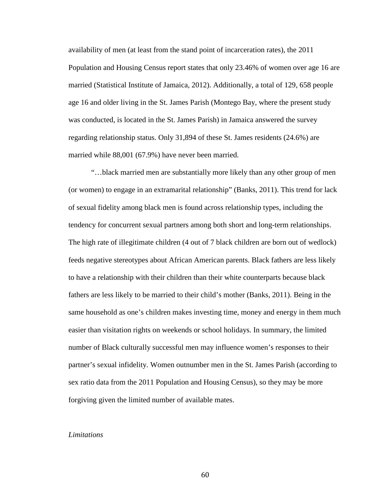availability of men (at least from the stand point of incarceration rates), the 2011 Population and Housing Census report states that only 23.46% of women over age 16 are married (Statistical Institute of Jamaica, 2012). Additionally, a total of 129, 658 people age 16 and older living in the St. James Parish (Montego Bay, where the present study was conducted, is located in the St. James Parish) in Jamaica answered the survey regarding relationship status. Only 31,894 of these St. James residents (24.6%) are married while 88,001 (67.9%) have never been married.

"…black married men are substantially more likely than any other group of men (or women) to engage in an extramarital relationship" (Banks, 2011). This trend for lack of sexual fidelity among black men is found across relationship types, including the tendency for concurrent sexual partners among both short and long-term relationships. The high rate of illegitimate children (4 out of 7 black children are born out of wedlock) feeds negative stereotypes about African American parents. Black fathers are less likely to have a relationship with their children than their white counterparts because black fathers are less likely to be married to their child's mother (Banks, 2011). Being in the same household as one's children makes investing time, money and energy in them much easier than visitation rights on weekends or school holidays. In summary, the limited number of Black culturally successful men may influence women's responses to their partner's sexual infidelity. Women outnumber men in the St. James Parish (according to sex ratio data from the 2011 Population and Housing Census), so they may be more forgiving given the limited number of available mates.

#### *Limitations*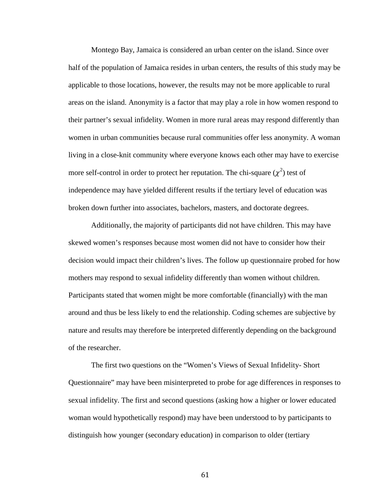Montego Bay, Jamaica is considered an urban center on the island. Since over half of the population of Jamaica resides in urban centers, the results of this study may be applicable to those locations, however, the results may not be more applicable to rural areas on the island. Anonymity is a factor that may play a role in how women respond to their partner's sexual infidelity. Women in more rural areas may respond differently than women in urban communities because rural communities offer less anonymity. A woman living in a close-knit community where everyone knows each other may have to exercise more self-control in order to protect her reputation. The chi-square  $(\chi^2)$  test of independence may have yielded different results if the tertiary level of education was broken down further into associates, bachelors, masters, and doctorate degrees.

Additionally, the majority of participants did not have children. This may have skewed women's responses because most women did not have to consider how their decision would impact their children's lives. The follow up questionnaire probed for how mothers may respond to sexual infidelity differently than women without children. Participants stated that women might be more comfortable (financially) with the man around and thus be less likely to end the relationship. Coding schemes are subjective by nature and results may therefore be interpreted differently depending on the background of the researcher.

The first two questions on the "Women's Views of Sexual Infidelity- Short Questionnaire" may have been misinterpreted to probe for age differences in responses to sexual infidelity. The first and second questions (asking how a higher or lower educated woman would hypothetically respond) may have been understood to by participants to distinguish how younger (secondary education) in comparison to older (tertiary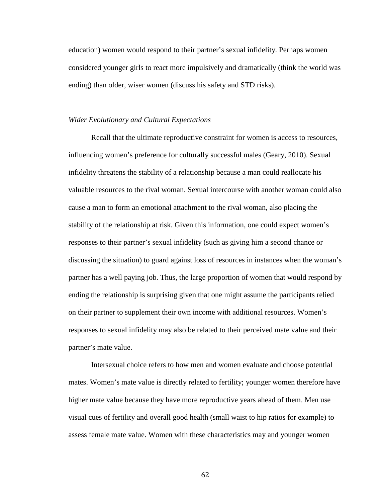education) women would respond to their partner's sexual infidelity. Perhaps women considered younger girls to react more impulsively and dramatically (think the world was ending) than older, wiser women (discuss his safety and STD risks).

### *Wider Evolutionary and Cultural Expectations*

Recall that the ultimate reproductive constraint for women is access to resources, influencing women's preference for culturally successful males (Geary, 2010). Sexual infidelity threatens the stability of a relationship because a man could reallocate his valuable resources to the rival woman. Sexual intercourse with another woman could also cause a man to form an emotional attachment to the rival woman, also placing the stability of the relationship at risk. Given this information, one could expect women's responses to their partner's sexual infidelity (such as giving him a second chance or discussing the situation) to guard against loss of resources in instances when the woman's partner has a well paying job. Thus, the large proportion of women that would respond by ending the relationship is surprising given that one might assume the participants relied on their partner to supplement their own income with additional resources. Women's responses to sexual infidelity may also be related to their perceived mate value and their partner's mate value.

Intersexual choice refers to how men and women evaluate and choose potential mates. Women's mate value is directly related to fertility; younger women therefore have higher mate value because they have more reproductive years ahead of them. Men use visual cues of fertility and overall good health (small waist to hip ratios for example) to assess female mate value. Women with these characteristics may and younger women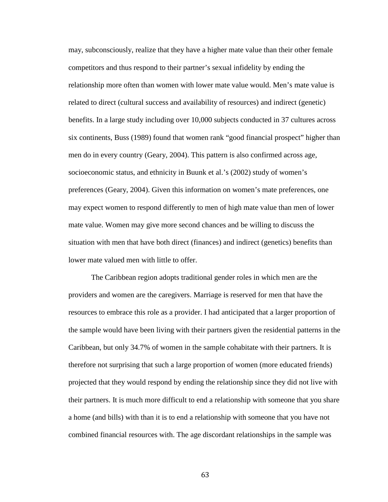may, subconsciously, realize that they have a higher mate value than their other female competitors and thus respond to their partner's sexual infidelity by ending the relationship more often than women with lower mate value would. Men's mate value is related to direct (cultural success and availability of resources) and indirect (genetic) benefits. In a large study including over 10,000 subjects conducted in 37 cultures across six continents, Buss (1989) found that women rank "good financial prospect" higher than men do in every country (Geary, 2004). This pattern is also confirmed across age, socioeconomic status, and ethnicity in Buunk et al.'s (2002) study of women's preferences (Geary, 2004). Given this information on women's mate preferences, one may expect women to respond differently to men of high mate value than men of lower mate value. Women may give more second chances and be willing to discuss the situation with men that have both direct (finances) and indirect (genetics) benefits than lower mate valued men with little to offer.

The Caribbean region adopts traditional gender roles in which men are the providers and women are the caregivers. Marriage is reserved for men that have the resources to embrace this role as a provider. I had anticipated that a larger proportion of the sample would have been living with their partners given the residential patterns in the Caribbean, but only 34.7% of women in the sample cohabitate with their partners. It is therefore not surprising that such a large proportion of women (more educated friends) projected that they would respond by ending the relationship since they did not live with their partners. It is much more difficult to end a relationship with someone that you share a home (and bills) with than it is to end a relationship with someone that you have not combined financial resources with. The age discordant relationships in the sample was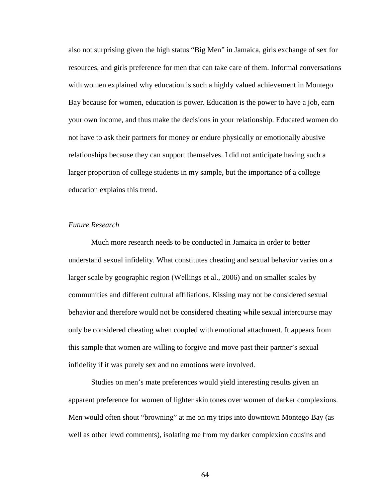also not surprising given the high status "Big Men" in Jamaica, girls exchange of sex for resources, and girls preference for men that can take care of them. Informal conversations with women explained why education is such a highly valued achievement in Montego Bay because for women, education is power. Education is the power to have a job, earn your own income, and thus make the decisions in your relationship. Educated women do not have to ask their partners for money or endure physically or emotionally abusive relationships because they can support themselves. I did not anticipate having such a larger proportion of college students in my sample, but the importance of a college education explains this trend.

#### *Future Research*

Much more research needs to be conducted in Jamaica in order to better understand sexual infidelity. What constitutes cheating and sexual behavior varies on a larger scale by geographic region (Wellings et al., 2006) and on smaller scales by communities and different cultural affiliations. Kissing may not be considered sexual behavior and therefore would not be considered cheating while sexual intercourse may only be considered cheating when coupled with emotional attachment. It appears from this sample that women are willing to forgive and move past their partner's sexual infidelity if it was purely sex and no emotions were involved.

Studies on men's mate preferences would yield interesting results given an apparent preference for women of lighter skin tones over women of darker complexions. Men would often shout "browning" at me on my trips into downtown Montego Bay (as well as other lewd comments), isolating me from my darker complexion cousins and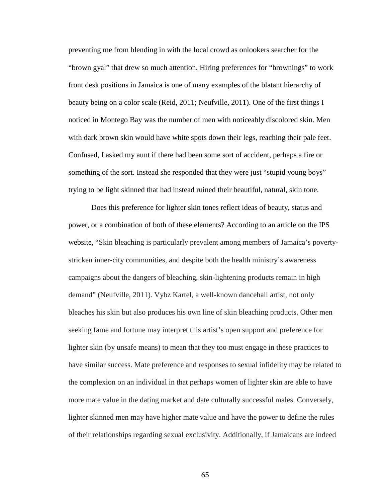preventing me from blending in with the local crowd as onlookers searcher for the "brown gyal" that drew so much attention. Hiring preferences for "brownings" to work front desk positions in Jamaica is one of many examples of the blatant hierarchy of beauty being on a color scale (Reid, 2011; Neufville, 2011). One of the first things I noticed in Montego Bay was the number of men with noticeably discolored skin. Men with dark brown skin would have white spots down their legs, reaching their pale feet. Confused, I asked my aunt if there had been some sort of accident, perhaps a fire or something of the sort. Instead she responded that they were just "stupid young boys" trying to be light skinned that had instead ruined their beautiful, natural, skin tone.

Does this preference for lighter skin tones reflect ideas of beauty, status and power, or a combination of both of these elements? According to an article on the IPS website, "Skin bleaching is particularly prevalent among members of Jamaica's povertystricken inner-city communities, and despite both the health ministry's awareness campaigns about the dangers of bleaching, skin-lightening products remain in high demand" (Neufville, 2011). Vybz Kartel, a well-known dancehall artist, not only bleaches his skin but also produces his own line of skin bleaching products. Other men seeking fame and fortune may interpret this artist's open support and preference for lighter skin (by unsafe means) to mean that they too must engage in these practices to have similar success. Mate preference and responses to sexual infidelity may be related to the complexion on an individual in that perhaps women of lighter skin are able to have more mate value in the dating market and date culturally successful males. Conversely, lighter skinned men may have higher mate value and have the power to define the rules of their relationships regarding sexual exclusivity. Additionally, if Jamaicans are indeed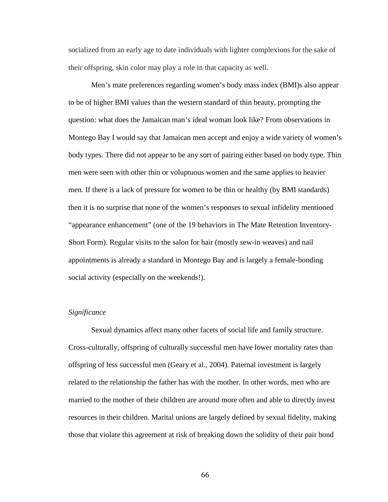socialized from an early age to date individuals with lighter complexions for the sake of their offspring, skin color may play a role in that capacity as well.

Men's mate preferences regarding women's body mass index (BMI)s also appear to be of higher BMI values than the western standard of thin beauty, prompting the question: what does the Jamaican man's ideal woman look like? From observations in Montego Bay I would say that Jamaican men accept and enjoy a wide variety of women's body types. There did not appear to be any sort of pairing either based on body type. Thin men were seen with other thin or voluptuous women and the same applies to heavier men. If there is a lack of pressure for women to be thin or healthy (by BMI standards) then it is no surprise that none of the women's responses to sexual infidelity mentioned "appearance enhancement" (one of the 19 behaviors in The Mate Retention Inventory-Short Form). Regular visits to the salon for hair (mostly sew-in weaves) and nail appointments is already a standard in Montego Bay and is largely a female-bonding social activity (especially on the weekends!).

### *Significance*

Sexual dynamics affect many other facets of social life and family structure. Cross-culturally, offspring of culturally successful men have lower mortality rates than offspring of less successful men (Geary et al., 2004). Paternal investment is largely related to the relationship the father has with the mother. In other words, men who are married to the mother of their children are around more often and able to directly invest resources in their children. Marital unions are largely defined by sexual fidelity, making those that violate this agreement at risk of breaking down the solidity of their pair bond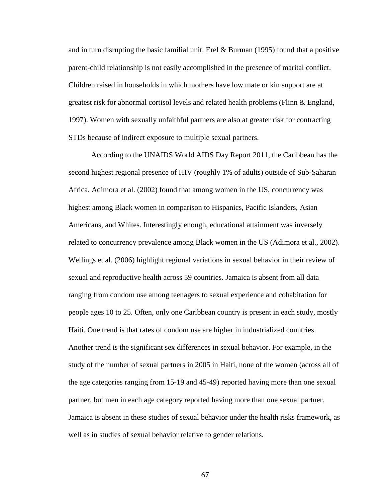and in turn disrupting the basic familial unit. Erel & Burman (1995) found that a positive parent-child relationship is not easily accomplished in the presence of marital conflict. Children raised in households in which mothers have low mate or kin support are at greatest risk for abnormal cortisol levels and related health problems (Flinn & England, 1997). Women with sexually unfaithful partners are also at greater risk for contracting STDs because of indirect exposure to multiple sexual partners.

According to the UNAIDS World AIDS Day Report 2011, the Caribbean has the second highest regional presence of HIV (roughly 1% of adults) outside of Sub-Saharan Africa. Adimora et al. (2002) found that among women in the US, concurrency was highest among Black women in comparison to Hispanics, Pacific Islanders, Asian Americans, and Whites. Interestingly enough, educational attainment was inversely related to concurrency prevalence among Black women in the US (Adimora et al., 2002). Wellings et al. (2006) highlight regional variations in sexual behavior in their review of sexual and reproductive health across 59 countries. Jamaica is absent from all data ranging from condom use among teenagers to sexual experience and cohabitation for people ages 10 to 25. Often, only one Caribbean country is present in each study, mostly Haiti. One trend is that rates of condom use are higher in industrialized countries. Another trend is the significant sex differences in sexual behavior. For example, in the study of the number of sexual partners in 2005 in Haiti, none of the women (across all of the age categories ranging from 15-19 and 45-49) reported having more than one sexual partner, but men in each age category reported having more than one sexual partner. Jamaica is absent in these studies of sexual behavior under the health risks framework, as well as in studies of sexual behavior relative to gender relations.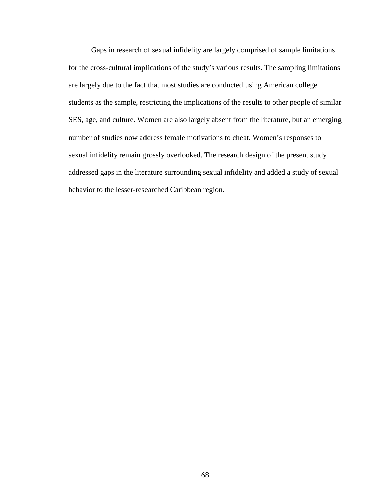Gaps in research of sexual infidelity are largely comprised of sample limitations for the cross-cultural implications of the study's various results. The sampling limitations are largely due to the fact that most studies are conducted using American college students as the sample, restricting the implications of the results to other people of similar SES, age, and culture. Women are also largely absent from the literature, but an emerging number of studies now address female motivations to cheat. Women's responses to sexual infidelity remain grossly overlooked. The research design of the present study addressed gaps in the literature surrounding sexual infidelity and added a study of sexual behavior to the lesser-researched Caribbean region.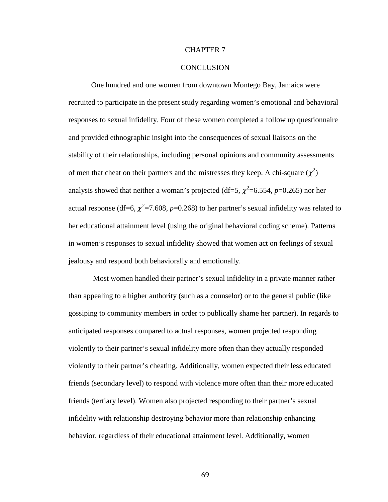### CHAPTER 7

#### **CONCLUSION**

One hundred and one women from downtown Montego Bay, Jamaica were recruited to participate in the present study regarding women's emotional and behavioral responses to sexual infidelity. Four of these women completed a follow up questionnaire and provided ethnographic insight into the consequences of sexual liaisons on the stability of their relationships, including personal opinions and community assessments of men that cheat on their partners and the mistresses they keep. A chi-square  $(\chi^2)$ analysis showed that neither a woman's projected (df=5,  $\chi^2$ =6.554, *p*=0.265) nor her actual response (df=6,  $\chi^2$ =7.608, *p*=0.268) to her partner's sexual infidelity was related to her educational attainment level (using the original behavioral coding scheme). Patterns in women's responses to sexual infidelity showed that women act on feelings of sexual jealousy and respond both behaviorally and emotionally.

Most women handled their partner's sexual infidelity in a private manner rather than appealing to a higher authority (such as a counselor) or to the general public (like gossiping to community members in order to publically shame her partner). In regards to anticipated responses compared to actual responses, women projected responding violently to their partner's sexual infidelity more often than they actually responded violently to their partner's cheating. Additionally, women expected their less educated friends (secondary level) to respond with violence more often than their more educated friends (tertiary level). Women also projected responding to their partner's sexual infidelity with relationship destroying behavior more than relationship enhancing behavior, regardless of their educational attainment level. Additionally, women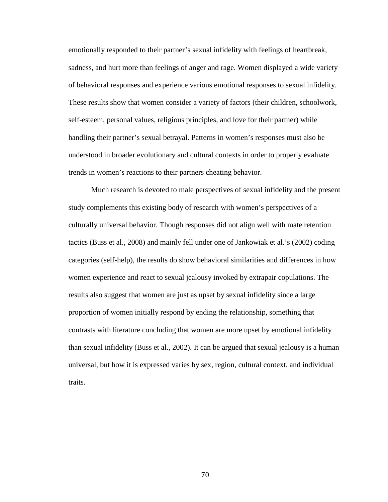emotionally responded to their partner's sexual infidelity with feelings of heartbreak, sadness, and hurt more than feelings of anger and rage. Women displayed a wide variety of behavioral responses and experience various emotional responses to sexual infidelity. These results show that women consider a variety of factors (their children, schoolwork, self-esteem, personal values, religious principles, and love for their partner) while handling their partner's sexual betrayal. Patterns in women's responses must also be understood in broader evolutionary and cultural contexts in order to properly evaluate trends in women's reactions to their partners cheating behavior.

Much research is devoted to male perspectives of sexual infidelity and the present study complements this existing body of research with women's perspectives of a culturally universal behavior. Though responses did not align well with mate retention tactics (Buss et al., 2008) and mainly fell under one of Jankowiak et al.'s (2002) coding categories (self-help), the results do show behavioral similarities and differences in how women experience and react to sexual jealousy invoked by extrapair copulations. The results also suggest that women are just as upset by sexual infidelity since a large proportion of women initially respond by ending the relationship, something that contrasts with literature concluding that women are more upset by emotional infidelity than sexual infidelity (Buss et al., 2002). It can be argued that sexual jealousy is a human universal, but how it is expressed varies by sex, region, cultural context, and individual traits.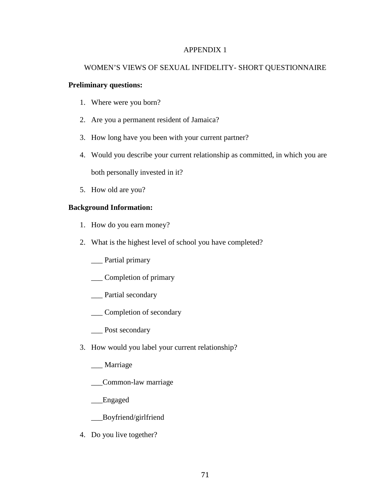### APPENDIX 1

# WOMEN'S VIEWS OF SEXUAL INFIDELITY- SHORT QUESTIONNAIRE

### **Preliminary questions:**

- 1. Where were you born?
- 2. Are you a permanent resident of Jamaica?
- 3. How long have you been with your current partner?
- 4. Would you describe your current relationship as committed, in which you are both personally invested in it?
- 5. How old are you?

# **Background Information:**

- 1. How do you earn money?
- 2. What is the highest level of school you have completed?
	- \_\_\_ Partial primary
	- \_\_\_ Completion of primary
	- \_\_\_ Partial secondary
	- \_\_\_ Completion of secondary
	- \_\_\_ Post secondary
- 3. How would you label your current relationship?
	- \_\_\_ Marriage
	- \_\_\_Common-law marriage
	- \_\_\_Engaged
	- \_\_\_Boyfriend/girlfriend
- 4. Do you live together?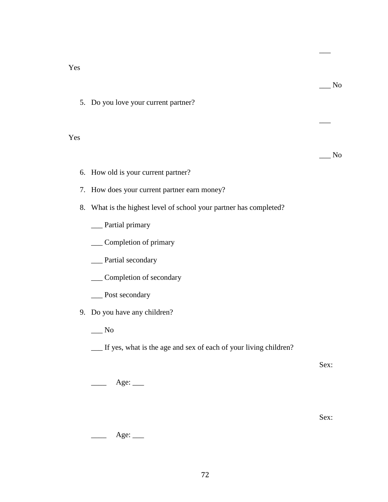Yes

 $\overline{\phantom{0}}$  No 5. Do you love your current partner?  $\overline{\phantom{a}}$  $\_\_$  No 6. How old is your current partner? 7. How does your current partner earn money? 8. What is the highest level of school your partner has completed? \_\_\_ Partial primary \_\_\_ Completion of primary \_\_\_ Partial secondary \_\_\_ Completion of secondary \_\_\_ Post secondary 9. Do you have any children?  $\_\_$  No \_\_\_ If yes, what is the age and sex of each of your living children? Sex: Age: \_\_\_\_

Sex:

 $\overline{\phantom{a}}$ 

 $\qquad \qquad \text{Age:} \qquad \qquad$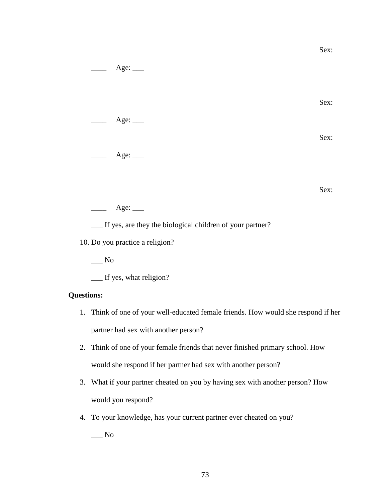$Age:$ Sex: Age:  $\_\_$ Sex:  $Age:$ Sex:  $\frac{\text{Age:}}{\text{Age:}}$ \_\_\_ If yes, are they the biological children of your partner? 10. Do you practice a religion?  $\_\_$  No \_\_\_ If yes, what religion?

Sex:

# **Questions:**

- 1. Think of one of your well-educated female friends. How would she respond if her partner had sex with another person?
- 2. Think of one of your female friends that never finished primary school. How would she respond if her partner had sex with another person?
- 3. What if your partner cheated on you by having sex with another person? How would you respond?
- 4. To your knowledge, has your current partner ever cheated on you?

 $\_\_$  No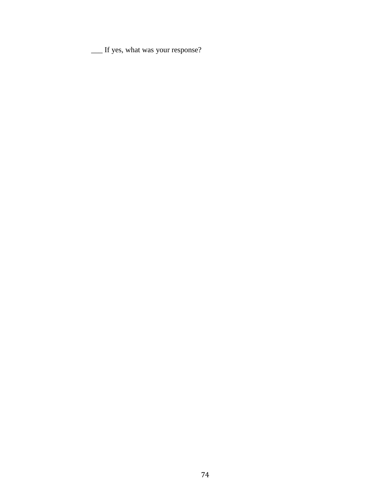\_\_\_ If yes, what was your response?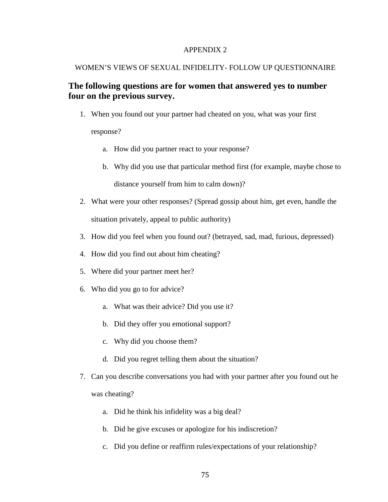### APPENDIX 2

#### WOMEN'S VIEWS OF SEXUAL INFIDELITY- FOLLOW UP QUESTIONNAIRE

# **The following questions are for women that answered yes to number four on the previous survey.**

1. When you found out your partner had cheated on you, what was your first

response?

- a. How did you partner react to your response?
- b. Why did you use that particular method first (for example, maybe chose to distance yourself from him to calm down)?
- 2. What were your other responses? (Spread gossip about him, get even, handle the situation privately, appeal to public authority)
- 3. How did you feel when you found out? (betrayed, sad, mad, furious, depressed)
- 4. How did you find out about him cheating?
- 5. Where did your partner meet her?
- 6. Who did you go to for advice?
	- a. What was their advice? Did you use it?
	- b. Did they offer you emotional support?
	- c. Why did you choose them?
	- d. Did you regret telling them about the situation?
- 7. Can you describe conversations you had with your partner after you found out he was cheating?
	- a. Did he think his infidelity was a big deal?
	- b. Did he give excuses or apologize for his indiscretion?
	- c. Did you define or reaffirm rules/expectations of your relationship?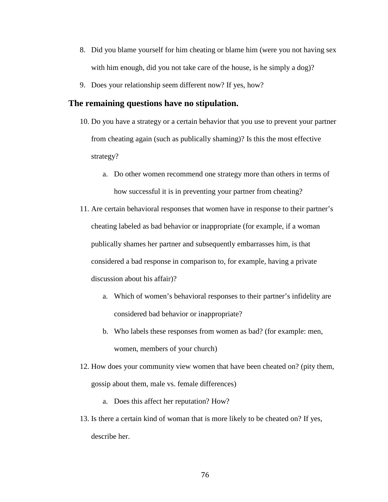- 8. Did you blame yourself for him cheating or blame him (were you not having sex with him enough, did you not take care of the house, is he simply a dog)?
- 9. Does your relationship seem different now? If yes, how?

# **The remaining questions have no stipulation.**

- 10. Do you have a strategy or a certain behavior that you use to prevent your partner from cheating again (such as publically shaming)? Is this the most effective strategy?
	- a. Do other women recommend one strategy more than others in terms of how successful it is in preventing your partner from cheating?
- 11. Are certain behavioral responses that women have in response to their partner's cheating labeled as bad behavior or inappropriate (for example, if a woman publically shames her partner and subsequently embarrasses him, is that considered a bad response in comparison to, for example, having a private discussion about his affair)?
	- a. Which of women's behavioral responses to their partner's infidelity are considered bad behavior or inappropriate?
	- b. Who labels these responses from women as bad? (for example: men, women, members of your church)
- 12. How does your community view women that have been cheated on? (pity them, gossip about them, male vs. female differences)
	- a. Does this affect her reputation? How?
- 13. Is there a certain kind of woman that is more likely to be cheated on? If yes, describe her.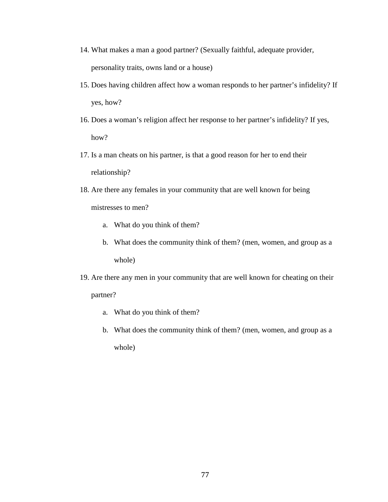- 14. What makes a man a good partner? (Sexually faithful, adequate provider, personality traits, owns land or a house)
- 15. Does having children affect how a woman responds to her partner's infidelity? If yes, how?
- 16. Does a woman's religion affect her response to her partner's infidelity? If yes, how?
- 17. Is a man cheats on his partner, is that a good reason for her to end their relationship?
- 18. Are there any females in your community that are well known for being mistresses to men?
	- a. What do you think of them?
	- b. What does the community think of them? (men, women, and group as a whole)
- 19. Are there any men in your community that are well known for cheating on their partner?
	- a. What do you think of them?
	- b. What does the community think of them? (men, women, and group as a whole)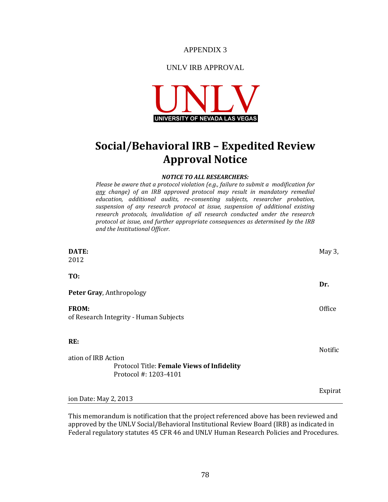APPENDIX 3

# UNLV IRB APPROVAL



# **Social/Behavioral IRB – Expedited Review Approval Notice**

#### *NOTICE TO ALL RESEARCHERS:*

*Please be aware that a protocol violation (e.g., failure to submit a modification for any change) of an IRB approved protocol may result in mandatory remedial education, additional audits, re-consenting subjects, researcher probation, suspension of any research protocol at issue, suspension of additional existing research protocols, invalidation of all research conducted under the research protocol at issue, and further appropriate consequences as determined by the IRB and the Institutional Officer.*

| DATE:                                                               | May 3,  |
|---------------------------------------------------------------------|---------|
| 2012                                                                |         |
| TO:                                                                 |         |
| Peter Gray, Anthropology                                            | Dr.     |
| <b>FROM:</b><br>of Research Integrity - Human Subjects              | Office  |
| RE:                                                                 | Notific |
| ation of IRB Action                                                 |         |
| Protocol Title: Female Views of Infidelity<br>Protocol #: 1203-4101 |         |
|                                                                     | Expirat |
| ion Date: May 2, 2013                                               |         |

This memorandum is notification that the project referenced above has been reviewed and approved by the UNLV Social/Behavioral Institutional Review Board (IRB) as indicated in Federal regulatory statutes 45 CFR 46 and UNLV Human Research Policies and Procedures.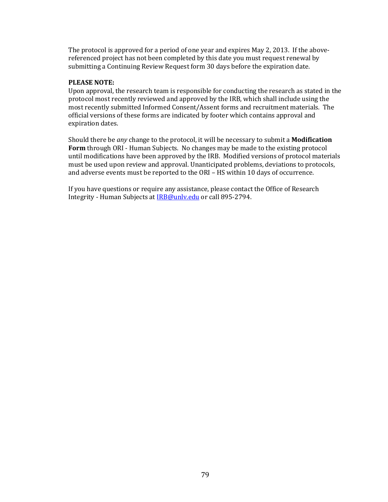The protocol is approved for a period of one year and expires May 2, 2013. If the abovereferenced project has not been completed by this date you must request renewal by submitting a Continuing Review Request form 30 days before the expiration date.

### **PLEASE NOTE:**

Upon approval, the research team is responsible for conducting the research as stated in the protocol most recently reviewed and approved by the IRB, which shall include using the most recently submitted Informed Consent/Assent forms and recruitment materials. The official versions of these forms are indicated by footer which contains approval and expiration dates.

Should there be *any* change to the protocol, it will be necessary to submit a **Modification Form** through ORI - Human Subjects. No changes may be made to the existing protocol until modifications have been approved by the IRB. Modified versions of protocol materials must be used upon review and approval. Unanticipated problems, deviations to protocols, and adverse events must be reported to the ORI – HS within 10 days of occurrence.

If you have questions or require any assistance, please contact the Office of Research Integrity - Human Subjects a[t IRB@unlv.edu](mailto:IRB@unlv.edu) or call 895-2794.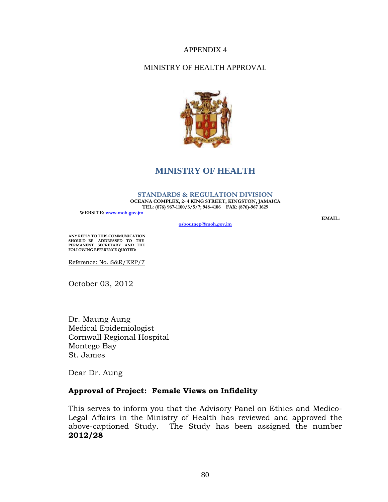# APPENDIX 4

# MINISTRY OF HEALTH APPROVAL



# **MINISTRY OF HEALTH**

#### **STANDARDS & REGULATION DIVISION**

**OCEANA COMPLEX, 2- 4 KING STREET, KINGSTON, JAMAICA TEL: (876) 967-1100/3/5/7; 948-4106 FAX: (876)-967 1629**

**WEBSITE: [www.moh.gov.jm](http://www.moh.gov.jm/)**

**[osbournep@moh.gov.jm](mailto:osbournep@moh.gov.jm)**

**EMAIL:** 

**ANY REPLY TO THIS COMMUNICATION SHOULD BE ADDRESSED TO THE PERMANENT SECRETARY AND THE FOLLOWING REFERENCE QUOTED:**

Reference: No. S&R/ERP/7

October 03, 2012

Dr. Maung Aung Medical Epidemiologist Cornwall Regional Hospital Montego Bay St. James

Dear Dr. Aung

# **Approval of Project: Female Views on Infidelity**

This serves to inform you that the Advisory Panel on Ethics and Medico-Legal Affairs in the Ministry of Health has reviewed and approved the above-captioned Study. The Study has been assigned the number **2012/28**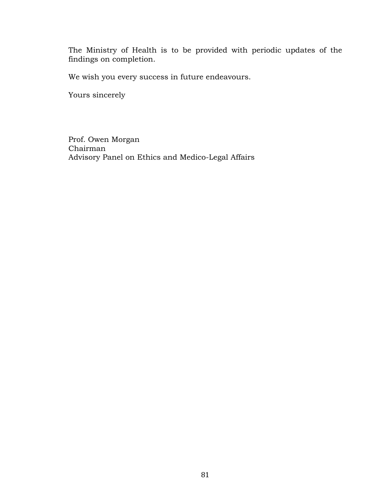The Ministry of Health is to be provided with periodic updates of the findings on completion.

We wish you every success in future endeavours.

Yours sincerely

Prof. Owen Morgan Chairman Advisory Panel on Ethics and Medico-Legal Affairs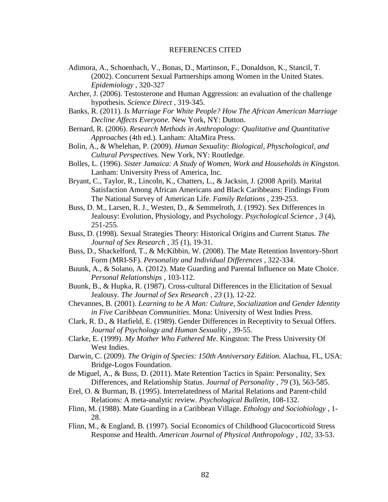#### REFERENCES CITED

- Adimora, A., Schoenbach, V., Bonas, D., Martinson, F., Donaldson, K., Stancil, T. (2002). Concurrent Sexual Partnerships among Women in the United States. *Epidemiology* , 320-327
- Archer, J. (2006). Testosterone and Human Aggression: an evaluation of the challenge hypothesis. *Science Direct* , 319-345.
- Banks, R. (2011). *Is Marriage For White People? How The African American Marriage Decline Affects Everyone.* New York, NY: Dutton.
- Bernard, R. (2006). *Research Methods in Anthropology: Qualitative and Quantitative Approaches* (4th ed.). Lanham: AltaMira Press.
- Bolin, A., & Whelehan, P. (2009). *Human Sexuality: Biological, Physchological, and Cultural Perspectives.* New York, NY: Routledge.
- Bolles, L. (1996). *Sister Jamaica: A Study of Women, Work and Households in Kingston.* Lanham: University Press of America, Inc.
- Bryant, C., Taylor, R., Lincoln, K., Chatters, L., & Jacksin, J. (2008 April). Marital Satisfaction Among African Americans and Black Caribbeans: Findings From The National Survey of American Life. *Family Relations* , 239-253.
- Buss, D. M., Larsen, R. J., Westen, D., & Semmelroth, J. (1992). Sex Differences in Jealousy: Evolution, Physiology, and Psychology. *Psychological Science , 3* (4), 251-255.
- Buss, D. (1998). Sexual Strategies Theory: Historical Origins and Current Status. *The Journal of Sex Research , 35* (1), 19-31.
- Buss, D., Shackelford, T., & McKibbin, W. (2008). The Mate Retention Inventory-Short Form (MRI-SF). *Personality and Individual Differences* , 322-334.
- Buunk, A., & Solano, A. (2012). Mate Guarding and Parental Influence on Mate Choice. *Personal Relationships* , 103-112.
- Buunk, B., & Hupka, R. (1987). Cross-cultural Differences in the Elicitation of Sexual Jealousy. *The Journal of Sex Research , 23* (1), 12-22.
- Chevannes, B. (2001). *Learning to be A Man: Culture, Socialization and Gender Identity in Five Caribbean Communities*. Mona: University of West Indies Press.
- Clark, R. D., & Hatfield, E. (1989). Gender Differences in Receptivity to Sexual Offers. *Journal of Psychology and Human Sexuality* , 39-55.
- Clarke, E. (1999). *My Mother Who Fathered Me.* Kingston: The Press University Of West Indies.
- Darwin, C. (2009). *The Origin of Species: 150th Anniversary Edition.* Alachua, FL, USA: Bridge-Logos Foundation.
- de Miguel, A., & Buss, D. (2011). Mate Retention Tactics in Spain: Personality, Sex Differences, and Relationship Status. *Journal of Personality , 79* (3), 563-585.
- Erel, O. & Burman, B. (1995). Interrelatedness of Marital Relations and Parent-child Relations: A meta-analytic review. *Psychological Bulletin*, 108-132.
- Flinn, M. (1988). Mate Guarding in a Caribbean Village. *Ethology and Sociobiology* , 1- 28.
- Flinn, M., & England, B. (1997). Social Economics of Childhood Glucocorticoid Stress Response and Health. *American Journal of Physical Anthropology , 102*, 33-53.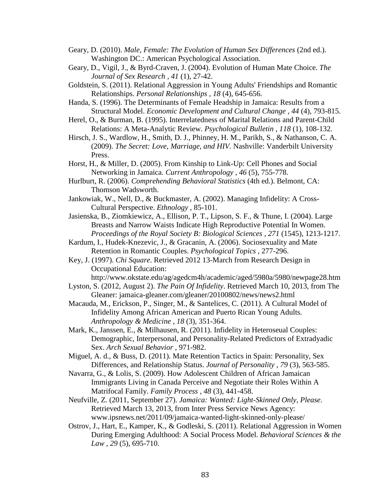- Geary, D. (2010). *Male, Female: The Evolution of Human Sex Differences* (2nd ed.). Washington DC.: American Psychological Association.
- Geary, D., Vigil, J., & Byrd-Craven, J. (2004). Evolution of Human Mate Choice. *The Journal of Sex Research , 41* (1), 27-42.
- Goldstein, S. (2011). Relational Aggression in Young Adults' Friendships and Romantic Relationships. *Personal Relationships , 18* (4), 645-656.
- Handa, S. (1996). The Determinants of Female Headship in Jamaica: Results from a Structural Model. *Economic Development and Cultural Change , 44* (4), 793-815.
- Herel, O., & Burman, B. (1995). Interrelatedness of Marital Relations and Parent-Child Relations: A Meta-Analytic Review. *Psychological Bulletin , 118* (1), 108-132.
- Hirsch, J. S., Wardlow, H., Smith, D. J., Phinney, H. M., Parikh, S., & Nathanson, C. A. (2009). *The Secret: Love, Marriage, and HIV.* Nashville: Vanderbilt University Press.
- Horst, H., & Miller, D. (2005). From Kinship to Link-Up: Cell Phones and Social Networking in Jamaica. *Current Anthropology , 46* (5), 755-778.
- Hurlburt, R. (2006). *Comprehending Behavioral Statistics* (4th ed.). Belmont, CA: Thomson Wadsworth.
- Jankowiak, W., Nell, D., & Buckmaster, A. (2002). Managing Infidelity: A Cross-Cultural Perspective. *Ethnology* , 85-101.
- Jasienska, B., Ziomkiewicz, A., Ellison, P. T., Lipson, S. F., & Thune, I. (2004). Large Breasts and Narrow Waists Indicate High Reproductive Potential In Women. *Proceedings of the Royal Society B: Biological Sciences , 271* (1545), 1213-1217.
- Kardum, I., Hudek-Knezevic, J., & Gracanin, A. (2006). Sociosexuality and Mate Retention in Romantic Couples. *Psychological Topics* , 277-296.
- Key, J. (1997). *Chi Square*. Retrieved 2012 13-March from Research Design in Occupational Education:
	- http://www.okstate.edu/ag/agedcm4h/academic/aged/5980a/5980/newpage28.htm
- Lyston, S. (2012, August 2). *The Pain Of Infidelity*. Retrieved March 10, 2013, from The Gleaner: jamaica-gleaner.com/gleaner/20100802/news/news2.html
- Macauda, M., Erickson, P., Singer, M., & Santelices, C. (2011). A Cultural Model of Infidelity Among African American and Puerto Rican Young Adults. *Anthropology & Medicine , 18* (3), 351-364.
- Mark, K., Janssen, E., & Milhausen, R. (2011). Infidelity in Heteroseual Couples: Demographic, Interpersonal, and Personality-Related Predictors of Extradyadic Sex. *Arch Sexual Behavior* , 971-982.
- Miguel, A. d., & Buss, D. (2011). Mate Retention Tactics in Spain: Personality, Sex Differences, and Relationship Status. *Journal of Personality , 79* (3), 563-585.
- Navarra, G., & Lolis, S. (2009). How Adolescent Children of African Jamaican Immigrants Living in Canada Perceive and Negotiate their Roles Within A Matrifocal Family. *Family Process , 48* (3), 441-458.
- Neufville, Z. (2011, September 27). *Jamaica: Wanted: Light-Skinned Only, Please*. Retrieved March 13, 2013, from Inter Press Service News Agency: www.ipsnews.net/2011/09/jamaica-wanted-light-skinned-only-please/
- Ostrov, J., Hart, E., Kamper, K., & Godleski, S. (2011). Relational Aggression in Women During Emerging Adulthood: A Social Process Model. *Behavioral Sciences & the Law , 29* (5), 695-710.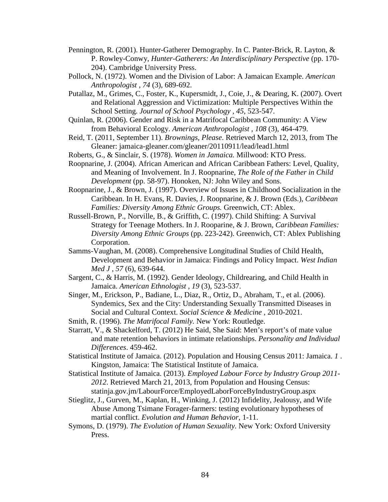- Pennington, R. (2001). Hunter-Gatherer Demography. In C. Panter-Brick, R. Layton, & P. Rowley-Conwy, *Hunter-Gatherers: An Interdisciplinary Perspective* (pp. 170- 204). Cambridge University Press.
- Pollock, N. (1972). Women and the Division of Labor: A Jamaican Example. *American Anthropologist , 74* (3), 689-692.
- Putallaz, M., Grimes, C., Foster, K., Kupersmidt, J., Coie, J., & Dearing, K. (2007). Overt and Relational Aggression and Victimization: Multiple Perspectives Within the School Setting. *Journal of School Psychology , 45*, 523-547.
- Quinlan, R. (2006). Gender and Risk in a Matrifocal Caribbean Community: A View from Behavioral Ecology. *American Anthropologist , 108* (3), 464-479.
- Reid, T. (2011, September 11). *Brownings, Please*. Retrieved March 12, 2013, from The Gleaner: jamaica-gleaner.com/gleaner/20110911/lead/lead1.html
- Roberts, G., & Sinclair, S. (1978). *Women in Jamaica.* Millwood: KTO Press.
- Roopnarine, J. (2004). African American and African Caribbean Fathers: Level, Quality, and Meaning of Involvement. In J. Roopnarine, *The Role of the Father in Child Development* (pp. 58-97). Honoken, NJ: John Wiley and Sons.
- Roopnarine, J., & Brown, J. (1997). Overview of Issues in Childhood Socialization in the Caribbean. In H. Evans, R. Davies, J. Roopnarine, & J. Brown (Eds.), *Caribbean Families: Diversity Among Ethnic Groups.* Greenwich, CT: Ablex.
- Russell-Brown, P., Norville, B., & Griffith, C. (1997). Child Shifting: A Survival Strategy for Teenage Mothers. In J. Rooparine, & J. Brown, *Caribbean Families: Diversity Among Ethnic Groups* (pp. 223-242). Greenwich, CT: Ablex Publishing Corporation.
- Samms-Vaughan, M. (2008). Comprehensive Longitudinal Studies of Child Health, Development and Behavior in Jamaica: Findings and Policy Impact. *West Indian Med J , 57* (6), 639-644.
- Sargent, C., & Harris, M. (1992). Gender Ideology, Childrearing, and Child Health in Jamaica. *American Ethnologist , 19* (3), 523-537.
- Singer, M., Erickson, P., Badiane, L., Diaz, R., Ortiz, D., Abraham, T., et al. (2006). Syndemics, Sex and the City: Understanding Sexually Transmitted Diseases in Social and Cultural Context. *Social Science & Medicine* , 2010-2021.
- Smith, R. (1996). *The Matrifocal Family.* New York: Routledge.
- Starratt, V., & Shackelford, T. (2012) He Said, She Said: Men's report's of mate value and mate retention behaviors in intimate relationships. *Personality and Individual Differences*. 459-462.
- Statistical Institute of Jamaica. (2012). Population and Housing Census 2011: Jamaica. *1* . Kingston, Jamaica: The Statistical Institute of Jamaica.
- Statistical Institute of Jamaica. (2013). *Employed Labour Force by Industry Group 2011- 2012*. Retrieved March 21, 2013, from Population and Housing Census: statinja.gov.jm/LabourForce/EmployedLaborForceByIndustryGroup.aspx
- Stieglitz, J., Gurven, M., Kaplan, H., Winking, J. (2012) Infidelity, Jealousy, and Wife Abuse Among Tsimane Forager-farmers: testing evolutionary hypotheses of martial conflict. *Evolution and Human Behavior*, 1-11.
- Symons, D. (1979). *The Evolution of Human Sexuality.* New York: Oxford University Press.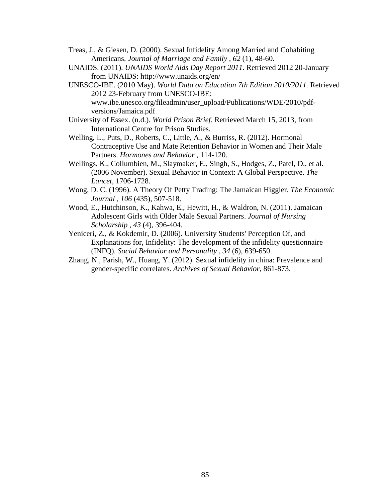- Treas, J., & Giesen, D. (2000). Sexual Infidelity Among Married and Cohabiting Americans. *Journal of Marriage and Family , 62* (1), 48-60.
- UNAIDS. (2011). *UNAIDS World Aids Day Report 2011*. Retrieved 2012 20-January from UNAIDS: http://www.unaids.org/en/
- UNESCO-IBE. (2010 May). *World Data on Education 7th Edition 2010/2011.* Retrieved 2012 23-February from UNESCO-IBE: www.ibe.unesco.org/fileadmin/user\_upload/Publications/WDE/2010/pdfversions/Jamaica.pdf
- University of Essex. (n.d.). *World Prison Brief*. Retrieved March 15, 2013, from International Centre for Prison Studies.
- Welling, L., Puts, D., Roberts, C., Little, A., & Burriss, R. (2012). Hormonal Contraceptive Use and Mate Retention Behavior in Women and Their Male Partners. *Hormones and Behavior* , 114-120.
- Wellings, K., Collumbien, M., Slaymaker, E., Singh, S., Hodges, Z., Patel, D., et al. (2006 November). Sexual Behavior in Context: A Global Perspective. *The Lancet*, 1706-1728.
- Wong, D. C. (1996). A Theory Of Petty Trading: The Jamaican Higgler. *The Economic Journal , 106* (435), 507-518.
- Wood, E., Hutchinson, K., Kahwa, E., Hewitt, H., & Waldron, N. (2011). Jamaican Adolescent Girls with Older Male Sexual Partners. *Journal of Nursing Scholarship , 43* (4), 396-404.
- Yeniceri, Z., & Kokdemir, D. (2006). University Students' Perception Of, and Explanations for, Infidelity: The development of the infidelity questionnaire (INFQ). *Social Behavior and Personality , 34* (6), 639-650.
- Zhang, N., Parish, W., Huang, Y. (2012). Sexual infidelity in china: Prevalence and gender-specific correlates. *Archives of Sexual Behavior*, 861-873.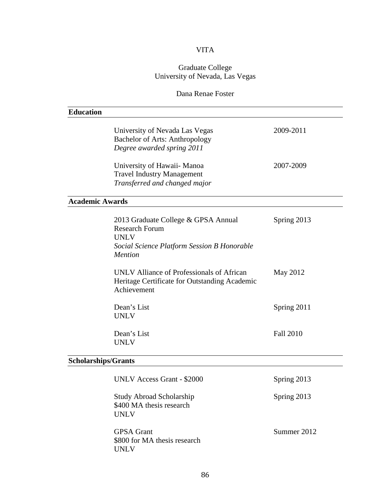# VITA

# Graduate College University of Nevada, Las Vegas

# Dana Renae Foster

| <b>Education</b>           |                                                                                                                                              |                  |  |
|----------------------------|----------------------------------------------------------------------------------------------------------------------------------------------|------------------|--|
|                            | University of Nevada Las Vegas<br>Bachelor of Arts: Anthropology<br>Degree awarded spring 2011                                               | 2009-2011        |  |
|                            | University of Hawaii- Manoa<br><b>Travel Industry Management</b><br>Transferred and changed major                                            | 2007-2009        |  |
| <b>Academic Awards</b>     |                                                                                                                                              |                  |  |
|                            | 2013 Graduate College & GPSA Annual<br><b>Research Forum</b><br><b>UNLV</b><br>Social Science Platform Session B Honorable<br><b>Mention</b> | Spring 2013      |  |
|                            | UNLV Alliance of Professionals of African<br>Heritage Certificate for Outstanding Academic<br>Achievement                                    | May 2012         |  |
|                            | Dean's List<br><b>UNLV</b>                                                                                                                   | Spring 2011      |  |
|                            | Dean's List<br><b>UNLV</b>                                                                                                                   | <b>Fall 2010</b> |  |
| <b>Scholarships/Grants</b> |                                                                                                                                              |                  |  |
|                            | <b>UNLV Access Grant - \$2000</b>                                                                                                            | Spring 2013      |  |
|                            | <b>Study Abroad Scholarship</b><br>\$400 MA thesis research<br><b>UNLV</b>                                                                   | Spring 2013      |  |
|                            | <b>GPSA</b> Grant<br>\$800 for MA thesis research<br><b>UNLV</b>                                                                             | Summer 2012      |  |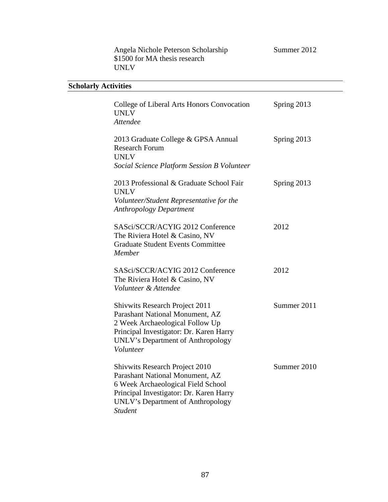| Summer 201 |
|------------|
|            |

Angela Nichole Peterson Scholarship Summer 2012 \$1500 for MA thesis research UNLV

# **Scholarly Activities**

| College of Liberal Arts Honors Convocation<br><b>UNLV</b><br><b>Attendee</b>                                                                                                                                            | Spring 2013 |
|-------------------------------------------------------------------------------------------------------------------------------------------------------------------------------------------------------------------------|-------------|
| 2013 Graduate College & GPSA Annual<br><b>Research Forum</b><br><b>UNLV</b><br>Social Science Platform Session B Volunteer                                                                                              | Spring 2013 |
| 2013 Professional & Graduate School Fair<br><b>UNLV</b><br>Volunteer/Student Representative for the<br><b>Anthropology Department</b>                                                                                   | Spring 2013 |
| SASci/SCCR/ACYIG 2012 Conference<br>The Riviera Hotel & Casino, NV<br><b>Graduate Student Events Committee</b><br>Member                                                                                                | 2012        |
| SASci/SCCR/ACYIG 2012 Conference<br>The Riviera Hotel & Casino, NV<br>Volunteer & Attendee                                                                                                                              | 2012        |
| <b>Shivwits Research Project 2011</b><br>Parashant National Monument, AZ<br>2 Week Archaeological Follow Up<br>Principal Investigator: Dr. Karen Harry<br>UNLV's Department of Anthropology<br>Volunteer                | Summer 2011 |
| <b>Shivwits Research Project 2010</b><br>Parashant National Monument, AZ<br>6 Week Archaeological Field School<br>Principal Investigator: Dr. Karen Harry<br><b>UNLV's Department of Anthropology</b><br><b>Student</b> | Summer 2010 |